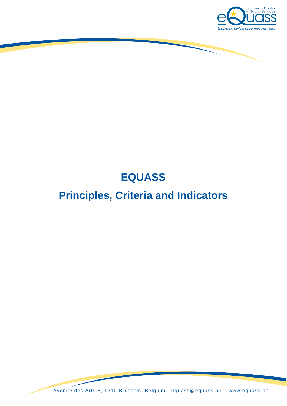

## **EQUASS**

## **Principles, Criteria and Indicators**

Avenue des Arts 8, 1210 Brussels, Belgium - [equass@equass.be](mailto:equass@equass.be) – [www.equass.be](http://www.equass.be/)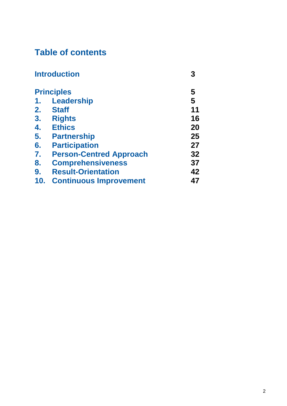## **Table of contents**

|                | <b>Introduction</b>            |    |
|----------------|--------------------------------|----|
|                | <b>Principles</b>              | 5  |
| 1.             | <b>Leadership</b>              | 5  |
|                | 2. Staff                       | 11 |
| 3 <sub>1</sub> | <b>Rights</b>                  | 16 |
| 4.             | <b>Ethics</b>                  | 20 |
| 5.             | <b>Partnership</b>             | 25 |
| 6.             | <b>Participation</b>           | 27 |
| $\mathbf{7}$   | <b>Person-Centred Approach</b> | 32 |
| 8.             | <b>Comprehensiveness</b>       | 37 |
| 9.             | <b>Result-Orientation</b>      | 42 |
| 10.            | <b>Continuous Improvement</b>  | 47 |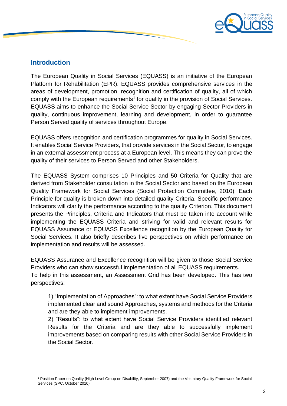

### **Introduction**

<u>.</u>

The European Quality in Social Services (EQUASS) is an initiative of the European Platform for Rehabilitation (EPR). EQUASS provides comprehensive services in the areas of development, promotion, recognition and certification of quality, all of which comply with the European requirements<sup>1</sup> for quality in the provision of Social Services. EQUASS aims to enhance the Social Service Sector by engaging Sector Providers in quality, continuous improvement, learning and development, in order to guarantee Person Served quality of services throughout Europe.

EQUASS offers recognition and certification programmes for quality in Social Services. It enables Social Service Providers, that provide services in the Social Sector, to engage in an external assessment process at a European level. This means they can prove the quality of their services to Person Served and other Stakeholders.

The EQUASS System comprises 10 Principles and 50 Criteria for Quality that are derived from Stakeholder consultation in the Social Sector and based on the European Quality Framework for Social Services (Social Protection Committee, 2010). Each Principle for quality is broken down into detailed quality Criteria. Specific performance Indicators will clarify the performance according to the quality Criterion. This document presents the Principles, Criteria and Indicators that must be taken into account while implementing the EQUASS Criteria and striving for valid and relevant results for EQUASS Assurance or EQUASS Excellence recognition by the European Quality for Social Services. It also briefly describes five perspectives on which performance on implementation and results will be assessed.

EQUASS Assurance and Excellence recognition will be given to those Social Service Providers who can show successful implementation of all EQUASS requirements. To help in this assessment, an Assessment Grid has been developed. This has two perspectives:

1) "Implementation of Approaches": to what extent have Social Service Providers implemented clear and sound Approaches, systems and methods for the Criteria and are they able to implement improvements.

2) "Results": to what extent have Social Service Providers identified relevant Results for the Criteria and are they able to successfully implement improvements based on comparing results with other Social Service Providers in the Social Sector.

<sup>1</sup> Position Paper on Quality (High Level Group on Disability, September 2007) and the Voluntary Quality Framework for Social Services (SPC, October 2010)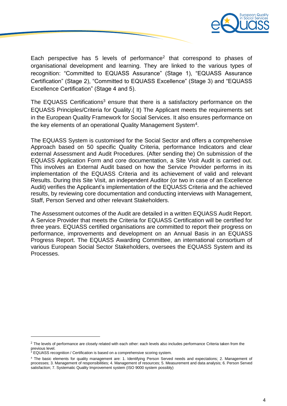

Each perspective has 5 levels of performance<sup>2</sup> that correspond to phases of organisational development and learning. They are linked to the various types of recognition: "Committed to EQUASS Assurance" (Stage 1), "EQUASS Assurance Certification" (Stage 2), "Committed to EQUASS Excellence" (Stage 3) and "EQUASS Excellence Certification" (Stage 4 and 5).

The EQUASS Certifications<sup>3</sup> ensure that there is a satisfactory performance on the EQUASS Principles/Criteria for Quality.( It) The Applicant meets the requirements set in the European Quality Framework for Social Services. It also ensures performance on the key elements of an operational Quality Management System<sup>4</sup>.

The EQUASS System is customised for the Social Sector and offers a comprehensive Approach based on 50 specific Quality Criteria, performance Indicators and clear external Assessment and Audit Procedures. (After sending the) On submission of the EQUASS Application Form and core documentation, a Site Visit Audit is carried out. This involves an External Audit based on how the Service Provider performs in its implementation of the EQUASS Criteria and its achievement of valid and relevant Results. During this Site Visit, an independent Auditor (or two in case of an Excellence Audit) verifies the Applicant's implementation of the EQUASS Criteria and the achieved results, by reviewing core documentation and conducting interviews with Management, Staff, Person Served and other relevant Stakeholders.

The Assessment outcomes of the Audit are detailed in a written EQUASS Audit Report. A Service Provider that meets the Criteria for EQUASS Certification will be certified for three years. EQUASS certified organisations are committed to report their progress on performance, improvements and development on an Annual Basis in an EQUASS Progress Report. The EQUASS Awarding Committee, an international consortium of various European Social Sector Stakeholders, oversees the EQUASS System and its Processes.

 $\overline{\phantom{a}}$ 

<sup>&</sup>lt;sup>2</sup> The levels of performance are closely related with each other: each levels also includes performance Criteria taken from the previous level.

<sup>&</sup>lt;sup>3</sup> EQUASS recognition / Certification is based on a comprehensive scoring system.

<sup>4</sup> The basic elements for quality management are: 1. Identifying Person Served needs and expectations; 2. Management of processes; 3. Management of responsibilities; 4. Management of resources; 5. Measurement and data analysis; 6. Person Served satisfaction; 7. Systematic Quality Improvement system (ISO 9000 system possibly)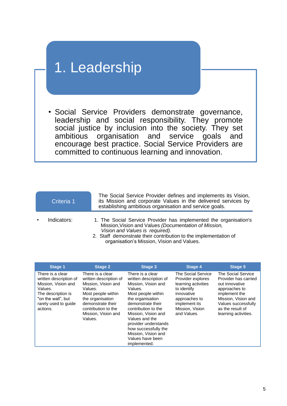# 1. Leadership

• Social Service Providers demonstrate governance, leadership and social responsibility. They promote social justice by inclusion into the society. They set ambitious organisation and service goals and encourage best practice. Social Service Providers are committed to continuous learning and innovation.

| Criteria 1  | The Social Service Provider defines and implements its Vision,<br>its Mission and corporate Values in the delivered services by<br>establishing ambitious organisation and service goals.                                                                                       |
|-------------|---------------------------------------------------------------------------------------------------------------------------------------------------------------------------------------------------------------------------------------------------------------------------------|
| Indicators: | 1. The Social Service Provider has implemented the organisation's<br>Mission, Vision and Values (Documentation of Mission,<br>Vision and Values is required).<br>2. Staff demonstrate their contribution to the implementation of<br>organisation's Mission, Vision and Values. |

| <b>Stage 1</b>                                                                                                                                               | <b>Stage 2</b>                                                                                                                                                                                       | <b>Stage 3</b>                                                                                                                                                                                                                                                                                                         | <b>Stage 4</b>                                                                                                                                                  | <b>Stage 5</b>                                                                                                                                                                           |
|--------------------------------------------------------------------------------------------------------------------------------------------------------------|------------------------------------------------------------------------------------------------------------------------------------------------------------------------------------------------------|------------------------------------------------------------------------------------------------------------------------------------------------------------------------------------------------------------------------------------------------------------------------------------------------------------------------|-----------------------------------------------------------------------------------------------------------------------------------------------------------------|------------------------------------------------------------------------------------------------------------------------------------------------------------------------------------------|
| There is a clear<br>written description of<br>Mission, Vision and<br>Values.<br>The description is<br>"on the wall", but<br>rarely used to guide<br>actions. | There is a clear<br>written description of<br>Mission, Vision and<br>Values.<br>Most people within<br>the organisation<br>demonstrate their<br>contribution to the<br>Mission, Vision and<br>Values. | There is a clear<br>written description of<br>Mission, Vision and<br>Values.<br>Most people within<br>the organisation<br>demonstrate their<br>contribution to the<br>Mission, Vision and<br>Values and the<br>provider understands<br>how successfully the<br>Mission, Vision and<br>Values have been<br>implemented. | The Social Service<br>Provider explores<br>learning activities<br>to identify<br>innovative<br>approaches to<br>implement its<br>Mission, Vision<br>and Values. | The Social Service<br>Provider has carried<br>out innovative<br>approaches to<br>implement the<br>Mission, Vision and<br>Values successfully<br>as the result of<br>learning activities. |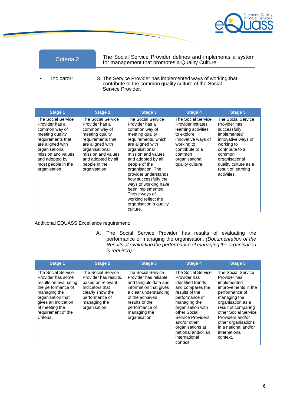

The Social Service Provider defines and implements a system for management that promotes a Quality Culture.

• Indicator: 3. The Service Provider has implemented ways of working that contribute to the common quality culture of the Social Service Provider.

| Stage 1                                                                                                                                                                                                            | <b>Stage 2</b>                                                                                                                                                                                                    | Stage 3                                                                                                                                                                                                                                                                                                                                                                                            | Stage 4                                                                                                                                                                              | Stage 5                                                                                                                                                                                                           |
|--------------------------------------------------------------------------------------------------------------------------------------------------------------------------------------------------------------------|-------------------------------------------------------------------------------------------------------------------------------------------------------------------------------------------------------------------|----------------------------------------------------------------------------------------------------------------------------------------------------------------------------------------------------------------------------------------------------------------------------------------------------------------------------------------------------------------------------------------------------|--------------------------------------------------------------------------------------------------------------------------------------------------------------------------------------|-------------------------------------------------------------------------------------------------------------------------------------------------------------------------------------------------------------------|
| The Social Service<br>Provider has a<br>common way of<br>meeting quality<br>requirements that<br>are aligned with<br>organisational<br>mission and values<br>and adopted by<br>most people in the<br>organisation. | The Social Service<br>Provider has a<br>common way of<br>meeting quality<br>requirements that<br>are aligned with<br>organisational<br>mission and values<br>and adopted by all<br>people in the<br>organisation. | The Social Service<br>Provider has a<br>common way of<br>meeting quality<br>requirements, which<br>are aligned with<br>organisational<br>mission and values<br>and adopted by all<br>people of the<br>organisation. The<br>provider understands<br>how successfully the<br>ways of working have<br>been implemented.<br>These ways of<br>working reflect the<br>organisation's quality<br>culture. | The Social Service<br>Provider initiates<br>learning activities<br>to explore<br>innovative ways of<br>working to<br>contribute to a<br>common<br>organisational<br>quality culture. | The Social Service<br>Provider has<br>successfully<br>implemented<br>innovative ways of<br>working to<br>contribute to a<br>common<br>organisational<br>quality culture as a<br>result of learning<br>activities. |

Additional EQUASS Excellence requirement:

A. The Social Service Provider has results of evaluating the performance of managing the organisation. *(Documentation of the Results of evaluating the performance of managing the organisation is required)*

| <b>Stage 1</b>                                                                                                                                                                                          | <b>Stage 2</b>                                                                                                                                             | <b>Stage 3</b>                                                                                                                                                                                                  | <b>Stage 4</b>                                                                                                                                                                                                                                                                          | <b>Stage 5</b>                                                                                                                                                                                                                                                                 |
|---------------------------------------------------------------------------------------------------------------------------------------------------------------------------------------------------------|------------------------------------------------------------------------------------------------------------------------------------------------------------|-----------------------------------------------------------------------------------------------------------------------------------------------------------------------------------------------------------------|-----------------------------------------------------------------------------------------------------------------------------------------------------------------------------------------------------------------------------------------------------------------------------------------|--------------------------------------------------------------------------------------------------------------------------------------------------------------------------------------------------------------------------------------------------------------------------------|
| The Social Service<br>Provider has some<br>results on evaluating<br>the performance of<br>managing the<br>organisation that<br>gives an indication<br>of meeting the<br>requirement of the<br>Criteria. | The Social Service<br>Provider has results,<br>based on relevant<br>Indicators that<br>clearly show the<br>performance of<br>managing the<br>organisation. | The Social Service<br>Provider has reliable<br>and tangible data and<br>information that gives<br>a clear understanding<br>of the achieved<br>results of the<br>performance of<br>managing the<br>organisation. | The Social Service<br>Provider has<br>identified trends<br>and compares the<br>results of the<br>performance of<br>managing the<br>organisation with<br>other Social<br><b>Service Providers</b><br>and/or other<br>organisations at<br>national and/or an<br>international<br>context. | The Social Service<br>Provider has<br>implemented<br>improvements in the<br>performance of<br>managing the<br>organisation as a<br>result of comparing<br>other Social Service<br>Providers and/or<br>other organisations<br>in a national and/or<br>international<br>context. |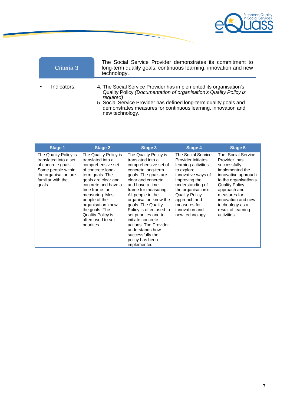

|           | Criteria 3  | The Social Service Provider demonstrates its commitment to<br>long-term quality goals, continuous learning, innovation and new<br>technology.                                                                                                                                                                 |
|-----------|-------------|---------------------------------------------------------------------------------------------------------------------------------------------------------------------------------------------------------------------------------------------------------------------------------------------------------------|
| $\bullet$ | Indicators: | 4. The Social Service Provider has implemented its organisation's<br>Quality Policy (Documentation of organisation's Quality Policy is<br>required)<br>5. Social Service Provider has defined long-term quality goals and<br>demonstrates measures for continuous learning, innovation and<br>new technology. |

| Stage 1                                                                                                                                           | <b>Stage 2</b>                                                                                                                                                                                                                                                                                              | Stage 3                                                                                                                                                                                                                                                                                                                                                                                                                           | Stage 4                                                                                                                                                                                                                                                      | Stage 5                                                                                                                                                                                                                                                      |
|---------------------------------------------------------------------------------------------------------------------------------------------------|-------------------------------------------------------------------------------------------------------------------------------------------------------------------------------------------------------------------------------------------------------------------------------------------------------------|-----------------------------------------------------------------------------------------------------------------------------------------------------------------------------------------------------------------------------------------------------------------------------------------------------------------------------------------------------------------------------------------------------------------------------------|--------------------------------------------------------------------------------------------------------------------------------------------------------------------------------------------------------------------------------------------------------------|--------------------------------------------------------------------------------------------------------------------------------------------------------------------------------------------------------------------------------------------------------------|
| The Quality Policy is<br>translated into a set<br>of concrete goals.<br>Some people within<br>the organisation are<br>familiar with the<br>goals. | The Quality Policy is<br>translated into a<br>comprehensive set<br>of concrete long-<br>term goals. The<br>goals are clear and<br>concrete and have a<br>time frame for<br>measuring. Most<br>people of the<br>organisation know<br>the goals. The<br>Quality Policy is<br>often used to set<br>priorities. | The Quality Policy is<br>translated into a<br>comprehensive set of<br>concrete long-term<br>goals. The goals are<br>clear and concrete<br>and have a time<br>frame for measuring.<br>All people in the<br>organisation know the<br>goals. The Quality<br>Policy is often used to<br>set priorities and to<br>initiate concrete<br>actions. The Provider<br>understands how<br>successfully the<br>policy has been<br>implemented. | The Social Service<br>Provider initiates<br>learning activities<br>to explore<br>innovative ways of<br>improving the<br>understanding of<br>the organisation's<br><b>Quality Policy</b><br>approach and<br>measures for<br>innovation and<br>new technology. | The Social Service<br>Provider has<br>successfully<br>implemented the<br>innovative approach<br>to the organisation's<br><b>Quality Policy</b><br>approach and<br>measures for<br>innovation and new<br>technology as a<br>result of learning<br>activities. |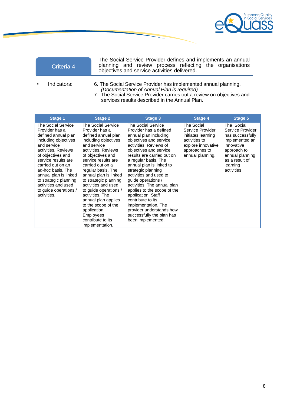

|           | Criteria 4  | The Social Service Provider defines and implements an annual<br>planning and review process reflecting the organisations<br>objectives and service activities delivered. |  |  |  |  |  |
|-----------|-------------|--------------------------------------------------------------------------------------------------------------------------------------------------------------------------|--|--|--|--|--|
| $\bullet$ | Indicators: | 6. The Social Service Provider has implemented annual planning.                                                                                                          |  |  |  |  |  |

- *(Documentation of Annual Plan is required)*
- 7. The Social Service Provider carries out a review on objectives and services results described in the Annual Plan.

| Stage 1                                                                                                                                                                                                                                                                                                                          | <b>Stage 2</b>                                                                                                                                                                                                                                                                                                                                                                                                                                          | Stage 3                                                                                                                                                                                                                                                                                                                                                                                                                                                                                                                   | Stage 4                                                                                                                          | Stage 5                                                                                                                                                          |
|----------------------------------------------------------------------------------------------------------------------------------------------------------------------------------------------------------------------------------------------------------------------------------------------------------------------------------|---------------------------------------------------------------------------------------------------------------------------------------------------------------------------------------------------------------------------------------------------------------------------------------------------------------------------------------------------------------------------------------------------------------------------------------------------------|---------------------------------------------------------------------------------------------------------------------------------------------------------------------------------------------------------------------------------------------------------------------------------------------------------------------------------------------------------------------------------------------------------------------------------------------------------------------------------------------------------------------------|----------------------------------------------------------------------------------------------------------------------------------|------------------------------------------------------------------------------------------------------------------------------------------------------------------|
| The Social Service<br>Provider has a<br>defined annual plan<br>including objectives<br>and service<br>activities. Reviews<br>of objectives and<br>service results are<br>carried out on an<br>ad-hoc basis. The<br>annual plan is linked<br>to strategic planning<br>activities and used<br>to guide operations /<br>activities. | The Social Service<br>Provider has a<br>defined annual plan<br>including objectives<br>and service<br>activities. Reviews<br>of objectives and<br>service results are<br>carried out on a<br>regular basis. The<br>annual plan is linked<br>to strategic planning<br>activities and used<br>to guide operations /<br>activities. The<br>annual plan applies<br>to the scope of the<br>application.<br>Employees<br>contribute to its<br>implementation. | The Social Service<br>Provider has a defined<br>annual plan including<br>objectives and service<br>activities. Reviews of<br>objectives and service<br>results are carried out on<br>a regular basis. The<br>annual plan is linked to<br>strategic planning<br>activities and used to<br>quide operations /<br>activities. The annual plan<br>applies to the scope of the<br>application. Staff<br>contribute to its<br>implementation. The<br>provider understands how<br>successfully the plan has<br>been implemented. | The Social<br>Service Provider<br>initiates learning<br>activities to<br>explore innovative<br>approaches to<br>annual planning. | The Social<br>Service Provider<br>has successfully<br>implemented an<br>innovative<br>approach to<br>annual planning<br>as a result of<br>learning<br>activities |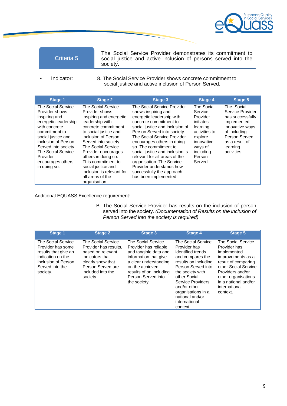

The Social Service Provider demonstrates its commitment to social justice and active inclusion of persons served into the society.

• Indicator: 8. The Social Service Provider shows concrete commitment to social justice and active inclusion of Person Served.

| Stage 1                                                                                                                                                                                                                                                     | <b>Stage 2</b>                                                                                                                                                                                                                                                                                                                                                      | Stage 3                                                                                                                                                                                                                                                                                                                                                                                                                                              | <b>Stage 4</b>                                                                                                                                   | Stage 5                                                                                                                                                           |
|-------------------------------------------------------------------------------------------------------------------------------------------------------------------------------------------------------------------------------------------------------------|---------------------------------------------------------------------------------------------------------------------------------------------------------------------------------------------------------------------------------------------------------------------------------------------------------------------------------------------------------------------|------------------------------------------------------------------------------------------------------------------------------------------------------------------------------------------------------------------------------------------------------------------------------------------------------------------------------------------------------------------------------------------------------------------------------------------------------|--------------------------------------------------------------------------------------------------------------------------------------------------|-------------------------------------------------------------------------------------------------------------------------------------------------------------------|
| The Social Service<br>Provider shows<br>inspiring and<br>energetic leadership<br>with concrete<br>commitment to<br>social justice and<br>inclusion of Person<br>Served into society.<br>The Social Service<br>Provider<br>encourages others<br>in doing so. | The Social Service<br>Provider shows<br>inspiring and energetic<br>leadership with<br>concrete commitment<br>to social justice and<br>inclusion of Person<br>Served into society.<br>The Social Service<br>Provider encourages<br>others in doing so.<br>This commitment to<br>social justice and<br>inclusion is relevant for<br>all areas of the<br>organisation. | The Social Service Provider<br>shows inspiring and<br>energetic leadership with<br>concrete commitment to<br>social justice and inclusion of<br>Person Served into society.<br>The Social Service Provider<br>encourages others in doing<br>so. The commitment to<br>social justice and inclusion is<br>relevant for all areas of the<br>organisation. The Service<br>Provider understands how<br>successfully the approach<br>has been implemented. | The Social<br>Service<br>Provider<br>initiates<br>learning<br>activities to<br>explore<br>innovative<br>ways of<br>including<br>Person<br>Served | The Social<br>Service Provider<br>has successfully<br>implemented<br>innovative ways<br>of including<br>Person Served<br>as a result of<br>learning<br>activities |

### Additional EQUASS Excellence requirement:

B. The Social Service Provider has results on the inclusion of person served into the society. *(Documentation of Results on the inclusion of Person Served into the society is required)*

| <b>Stage 1</b>                                                                                                                             | <b>Stage 2</b>                                                                                                                                                 | Stage 3                                                                                                                                                                                                           | <b>Stage 4</b>                                                                                                                                                                                                                                                           | <b>Stage 5</b>                                                                                                                                                                                                        |
|--------------------------------------------------------------------------------------------------------------------------------------------|----------------------------------------------------------------------------------------------------------------------------------------------------------------|-------------------------------------------------------------------------------------------------------------------------------------------------------------------------------------------------------------------|--------------------------------------------------------------------------------------------------------------------------------------------------------------------------------------------------------------------------------------------------------------------------|-----------------------------------------------------------------------------------------------------------------------------------------------------------------------------------------------------------------------|
| The Social Service<br>Provider has some<br>results that give an<br>indication on the<br>inclusion of Person<br>Served into the<br>society. | The Social Service<br>Provider has results,<br>based on relevant<br>indicators that<br>clearly show that<br>Person Served are<br>included into the<br>society. | <b>The Social Service</b><br>Provider has reliable<br>and tangible data and<br>information that give<br>a clear understanding<br>on the achieved<br>results of on including<br>Person Served into<br>the society. | The Social Service<br>Provider has<br>identified trends<br>and compares the<br>results on including<br>Person Served into<br>the society with<br>other Social<br>Service Providers<br>and/or other<br>organisations in a<br>national and/or<br>international<br>context. | The Social Service<br>Provider has<br>implemented<br>improvements as a<br>result of comparing<br>other Social Service<br>Providers and/or<br>other organisations<br>in a national and/or<br>international<br>context. |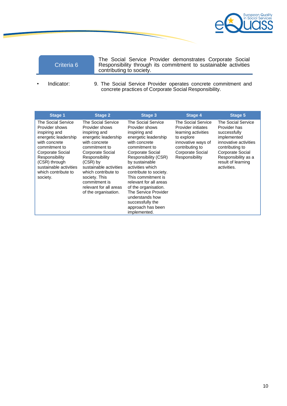

The Social Service Provider demonstrates Corporate Social Responsibility through its commitment to sustainable activities contributing to society.

• Indicator: 9. The Social Service Provider operates concrete commitment and concrete practices of Corporate Social Responsibility.

| <b>Stage 1</b>                                                                                                                                                                                                                      | <b>Stage 2</b>                                                                                                                                                                                                                                                                                           | Stage 3                                                                                                                                                                                                                                                                                                                                                                                                 | <b>Stage 4</b>                                                                                                                                               | <b>Stage 5</b>                                                                                                                                                                                |
|-------------------------------------------------------------------------------------------------------------------------------------------------------------------------------------------------------------------------------------|----------------------------------------------------------------------------------------------------------------------------------------------------------------------------------------------------------------------------------------------------------------------------------------------------------|---------------------------------------------------------------------------------------------------------------------------------------------------------------------------------------------------------------------------------------------------------------------------------------------------------------------------------------------------------------------------------------------------------|--------------------------------------------------------------------------------------------------------------------------------------------------------------|-----------------------------------------------------------------------------------------------------------------------------------------------------------------------------------------------|
| The Social Service<br>Provider shows<br>inspiring and<br>energetic leadership<br>with concrete<br>commitment to<br>Corporate Social<br>Responsibility<br>(CSR) through<br>sustainable activities<br>which contribute to<br>society. | The Social Service<br>Provider shows<br>inspiring and<br>energetic leadership<br>with concrete<br>commitment to<br>Corporate Social<br>Responsibility<br>$(CSR)$ by<br>sustainable activities<br>which contribute to<br>society. This<br>commitment is<br>relevant for all areas<br>of the organisation. | The Social Service<br>Provider shows<br>inspiring and<br>energetic leadership<br>with concrete<br>commitment to<br>Corporate Social<br>Responsibility (CSR)<br>by sustainable<br>activities which<br>contribute to society.<br>This commitment is<br>relevant for all areas<br>of the organisation.<br>The Service Provider<br>understands how<br>successfully the<br>approach has been<br>implemented. | The Social Service<br>Provider initiates<br>learning activities<br>to explore<br>innovative ways of<br>contributing to<br>Corporate Social<br>Responsibility | The Social Service<br>Provider has<br>successfully<br>implemented<br>innovative activities<br>contributing to<br>Corporate Social<br>Responsibility as a<br>result of learning<br>activities. |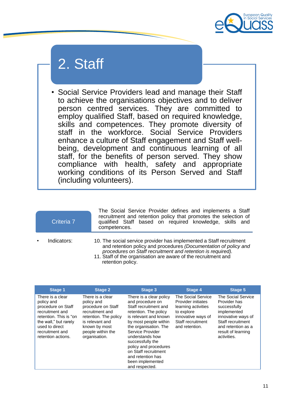

# 2. Staff

• Social Service Providers lead and manage their Staff to achieve the organisations objectives and to deliver person centred services. They are committed to employ qualified Staff, based on required knowledge, skills and competences. They promote diversity of staff in the workforce. Social Service Providers enhance a culture of Staff engagement and Staff wellbeing, development and continuous learning of all staff, for the benefits of person served. They show compliance with health, safety and appropriate working conditions of its Person Served and Staff (including volunteers).

| Criteria 7  | The Social Service Provider defines and implements a Staff<br>recruitment and retention policy that promotes the selection of<br>qualified Staff based on required knowledge, skills and<br>competences.                                                                                      |
|-------------|-----------------------------------------------------------------------------------------------------------------------------------------------------------------------------------------------------------------------------------------------------------------------------------------------|
| Indicators: | 10. The social service provider has implemented a Staff recruitment<br>and retention policy and procedures (Documentation of policy and<br>procedures on Staff recruitment and retention is required).<br>11. Staff of the organisation are aware of the recruitment and<br>retention policy. |

| Stage 1                                                                                                                                                                               | <b>Stage 2</b>                                                                                                                                                             | <b>Stage 3</b>                                                                                                                                                                                                                                                                                                                                  | Stage 4                                                                                                                                           | <b>Stage 5</b>                                                                                                                                                          |
|---------------------------------------------------------------------------------------------------------------------------------------------------------------------------------------|----------------------------------------------------------------------------------------------------------------------------------------------------------------------------|-------------------------------------------------------------------------------------------------------------------------------------------------------------------------------------------------------------------------------------------------------------------------------------------------------------------------------------------------|---------------------------------------------------------------------------------------------------------------------------------------------------|-------------------------------------------------------------------------------------------------------------------------------------------------------------------------|
| There is a clear<br>policy and<br>procedure on Staff<br>recruitment and<br>retention. This is "on<br>the wall," but rarely<br>used to direct<br>recruitment and<br>retention actions. | There is a clear<br>policy and<br>procedure on Staff<br>recruitment and<br>retention. The policy<br>is relevant and<br>known by most<br>people within the<br>organisation. | There is a clear policy<br>and procedure on<br>Staff recruitment and<br>retention. The policy<br>is relevant and known<br>by most people within<br>the organisation. The<br>Service Provider<br>understands how<br>successfully the<br>policy and procedures<br>on Staff recruitment<br>and retention has<br>been implemented<br>and respected. | The Social Service<br><b>Provider initiates</b><br>learning activities<br>to explore<br>innovative ways of<br>Staff recruitment<br>and retention. | The Social Service<br>Provider has<br>successfully<br>implemented<br>innovative ways of<br>Staff recruitment<br>and retention as a<br>result of learning<br>activities. |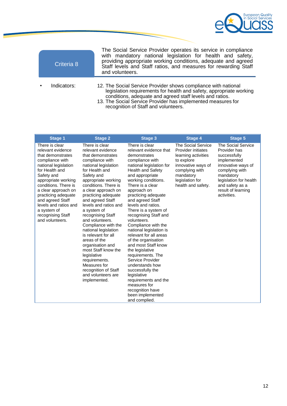

| Criteria 8  | The Social Service Provider operates its service in compliance<br>with mandatory national legislation for health and safety,<br>providing appropriate working conditions, adequate and agreed<br>Staff levels and Staff ratios, and measures for rewarding Staff<br>and volunteers.                       |
|-------------|-----------------------------------------------------------------------------------------------------------------------------------------------------------------------------------------------------------------------------------------------------------------------------------------------------------|
| Indicators: | 12. The Social Service Provider shows compliance with national<br>legislation requirements for health and safety, appropriate working<br>conditions, adequate and agreed staff levels and ratios.<br>13. The Social Service Provider has implemented measures for<br>recognition of Staff and volunteers. |

| <b>Stage 1</b>                                                                                                                                                                                                                                                                                                                       | <b>Stage 2</b>                                                                                                                                                                                                                                                                                                                                                                                                                                                                                                                                                                      | <b>Stage 3</b>                                                                                                                                                                                                                                                                                                                                                                                                                                                                                                                                                                                                                                                                                 | <b>Stage 4</b>                                                                                                                                                                            | <b>Stage 5</b>                                                                                                                                                                                                  |
|--------------------------------------------------------------------------------------------------------------------------------------------------------------------------------------------------------------------------------------------------------------------------------------------------------------------------------------|-------------------------------------------------------------------------------------------------------------------------------------------------------------------------------------------------------------------------------------------------------------------------------------------------------------------------------------------------------------------------------------------------------------------------------------------------------------------------------------------------------------------------------------------------------------------------------------|------------------------------------------------------------------------------------------------------------------------------------------------------------------------------------------------------------------------------------------------------------------------------------------------------------------------------------------------------------------------------------------------------------------------------------------------------------------------------------------------------------------------------------------------------------------------------------------------------------------------------------------------------------------------------------------------|-------------------------------------------------------------------------------------------------------------------------------------------------------------------------------------------|-----------------------------------------------------------------------------------------------------------------------------------------------------------------------------------------------------------------|
| There is clear<br>relevant evidence<br>that demonstrates<br>compliance with<br>national legislation<br>for Health and<br>Safety and<br>appropriate working<br>conditions. There is<br>a clear approach on<br>practicing adequate<br>and agreed Staff<br>levels and ratios and<br>a system of<br>recognising Staff<br>and volunteers. | There is clear<br>relevant evidence<br>that demonstrates<br>compliance with<br>national legislation<br>for Health and<br>Safety and<br>appropriate working<br>conditions. There is<br>a clear approach on<br>practicing adequate<br>and agreed Staff<br>levels and ratios and<br>a system of<br>recognising Staff<br>and volunteers.<br>Compliance with the<br>national legislation<br>is relevant for all<br>areas of the<br>organisation and<br>most Staff know the<br>legislative<br>requirements.<br>Measures for<br>recognition of Staff<br>and volunteers are<br>implemented. | There is clear<br>relevant evidence that<br>demonstrates<br>compliance with<br>national legislation for<br><b>Health and Safety</b><br>and appropriate<br>working conditions.<br>There is a clear<br>approach on<br>practicing adequate<br>and agreed Staff<br>levels and ratios.<br>There is a system of<br>recognising Staff and<br>volunteers.<br>Compliance with the<br>national legislation is<br>relevant for all areas<br>of the organisation<br>and most Staff know<br>the legislative<br>requirements. The<br>Service Provider<br>understands how<br>successfully the<br>legislative<br>requirements and the<br>measures for<br>recognition have<br>been implemented<br>and complied. | <b>The Social Service</b><br><b>Provider initiates</b><br>learning activities<br>to explore<br>innovative ways of<br>complying with<br>mandatory<br>legislation for<br>health and safety. | <b>The Social Service</b><br>Provider has<br>successfully<br>implemented<br>innovative ways of<br>complying with<br>mandatory<br>legislation for health<br>and safety as a<br>result of learning<br>activities. |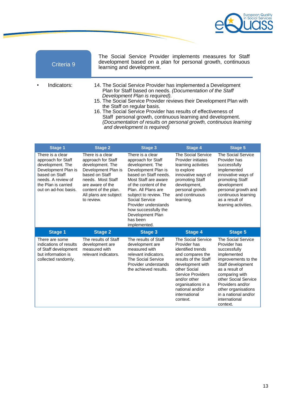

|           | Criteria 9  | The Social Service Provider implements measures for Staff<br>development based on a plan for personal growth, continuous<br>learning and development.                                                                                                                                                                                                                                                                                                                                                      |
|-----------|-------------|------------------------------------------------------------------------------------------------------------------------------------------------------------------------------------------------------------------------------------------------------------------------------------------------------------------------------------------------------------------------------------------------------------------------------------------------------------------------------------------------------------|
| $\bullet$ | Indicators: | 14. The Social Service Provider has implemented a Development<br>Plan for Staff based on needs. (Documentation of the Staff<br>Development Plan is required).<br>15. The Social Service Provider reviews their Development Plan with<br>the Staff on regular basis.<br>16. The Social Service Provider has results of effectiveness of<br>Staff personal growth, continuous learning and development.<br>(Documentation of results on personal growth, continuous learning<br>and development is required) |

| <b>Stage 1</b>                                                                                                                                                           | <b>Stage 2</b>                                                                                                                                                                                              | <b>Stage 3</b>                                                                                                                                                                                                                                                                                                                 | <b>Stage 4</b>                                                                                                                                                                                                                                     | <b>Stage 5</b>                                                                                                                                                                                                                                                                   |
|--------------------------------------------------------------------------------------------------------------------------------------------------------------------------|-------------------------------------------------------------------------------------------------------------------------------------------------------------------------------------------------------------|--------------------------------------------------------------------------------------------------------------------------------------------------------------------------------------------------------------------------------------------------------------------------------------------------------------------------------|----------------------------------------------------------------------------------------------------------------------------------------------------------------------------------------------------------------------------------------------------|----------------------------------------------------------------------------------------------------------------------------------------------------------------------------------------------------------------------------------------------------------------------------------|
| There is a clear<br>approach for Staff<br>development. The<br>Development Plan is<br>based on Staff<br>needs. A review of<br>the Plan is carried<br>out on ad-hoc basis. | There is a clear<br>approach for Staff<br>development. The<br>Development Plan is<br>based on Staff<br>needs. Most Staff<br>are aware of the<br>content of the plan.<br>All plans are subject<br>to review. | There is a clear<br>approach for Staff<br>development. The<br>Development Plan is<br>based on Staff needs.<br>Most Staff are aware<br>of the content of the<br>Plan. All Plans are<br>subject to review. The<br>Social Service<br>Provider understands<br>how successfully the<br>Development Plan<br>has been<br>implemented. | <b>The Social Service</b><br>Provider initiates<br>learning activities<br>to explore<br>innovative ways of<br>promoting Staff<br>development,<br>personal growth<br>and continuous<br>learning.                                                    | <b>The Social Service</b><br>Provider has<br>successfully<br>implemented<br>innovative ways of<br>promoting Staff<br>development<br>personal growth and<br>continuous learning<br>as a result of<br>learning activities.                                                         |
| <b>Stage 1</b>                                                                                                                                                           | <b>Stage 2</b>                                                                                                                                                                                              | <b>Stage 3</b>                                                                                                                                                                                                                                                                                                                 | <b>Stage 4</b>                                                                                                                                                                                                                                     | <b>Stage 5</b>                                                                                                                                                                                                                                                                   |
| There are some<br>indications of results<br>of Staff development<br>but information is<br>collected randomly.                                                            | The results of Staff<br>development are<br>measured with<br>relevant indicators.                                                                                                                            | The results of Staff<br>development are<br>measured with<br>relevant indicators.<br><b>The Social Service</b><br>Provider understands<br>the achieved results.                                                                                                                                                                 | The Social Service<br>Provider has<br>identified trends<br>and compares the<br>results of the Staff<br>development with<br>other Social<br>Service Providers<br>and/or other<br>organisations in a<br>national and/or<br>international<br>context. | <b>The Social Service</b><br>Provider has<br>successfully<br>implemented<br>improvements to the<br>Staff development<br>as a result of<br>comparing with<br>other Social Service<br>Providers and/or<br>other organisations<br>in a national and/or<br>international<br>context. |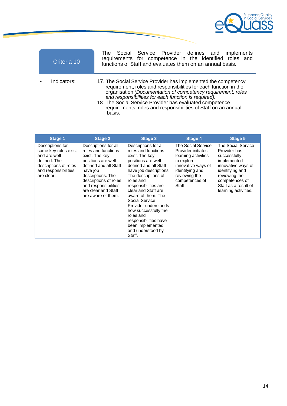

| Criteria 10 | The Social Service Provider defines and implements<br>requirements for competence in the identified roles and<br>functions of Staff and evaluates them on an annual basis.                                                                                                                                                                                                                         |
|-------------|----------------------------------------------------------------------------------------------------------------------------------------------------------------------------------------------------------------------------------------------------------------------------------------------------------------------------------------------------------------------------------------------------|
| Indicators: | 17. The Social Service Provider has implemented the competency<br>requirement, roles and responsibilities for each function in the<br>organisation (Documentation of competency requirement, roles<br>and responsibilities for each function is required).<br>18. The Social Service Provider has evaluated competence<br>requirements, roles and responsibilities of Staff on an annual<br>basis. |

| Stage 1                                                                                                                                 | <b>Stage 2</b>                                                                                                                                                                                                                              | Stage 3                                                                                                                                                                                                                                                                                                                                                                                                    | Stage 4                                                                                                                                                             | Stage 5                                                                                                                                                                                       |
|-----------------------------------------------------------------------------------------------------------------------------------------|---------------------------------------------------------------------------------------------------------------------------------------------------------------------------------------------------------------------------------------------|------------------------------------------------------------------------------------------------------------------------------------------------------------------------------------------------------------------------------------------------------------------------------------------------------------------------------------------------------------------------------------------------------------|---------------------------------------------------------------------------------------------------------------------------------------------------------------------|-----------------------------------------------------------------------------------------------------------------------------------------------------------------------------------------------|
| Descriptions for<br>some key roles exist<br>and are well<br>defined. The<br>descriptions of roles<br>and responsibilities<br>are clear. | Descriptions for all<br>roles and functions<br>exist. The key<br>positions are well<br>defined and all Staff<br>have job<br>descriptions. The<br>descriptions of roles<br>and responsibilities<br>are clear and Staff<br>are aware of them. | Descriptions for all<br>roles and functions<br>exist. The key<br>positions are well<br>defined and all Staff<br>have job descriptions.<br>The descriptions of<br>roles and<br>responsibilities are<br>clear and Staff are<br>aware of them. The<br>Social Service<br>Provider understands<br>how successfully the<br>roles and<br>responsibilities have<br>been implemented<br>and understood by<br>Staff. | The Social Service<br>Provider initiates<br>learning activities<br>to explore<br>innovative ways of<br>identifying and<br>reviewing the<br>competences of<br>Staff. | The Social Service<br>Provider has<br>successfully<br>implemented<br>innovative ways of<br>identifying and<br>reviewing the<br>competences of<br>Staff as a result of<br>learning activities. |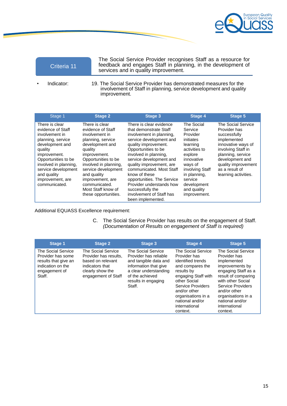

| Criteria 11 | The Social Service Provider recognises Staff as a resource for<br>feedback and engages Staff in planning, in the development of<br>services and in quality improvement. |  |
|-------------|-------------------------------------------------------------------------------------------------------------------------------------------------------------------------|--|
| Indicator:  | 19. The Social Service Provider has demonstrated measures for the                                                                                                       |  |

involvement of Staff in planning, service development and quality improvement.

| Stage 1                                                                                                                                                                                                                                             | <b>Stage 2</b>                                                                                                                                                                                                                                                                                    | <b>Stage 3</b>                                                                                                                                                                                                                                                                                                                                                                                                      | <b>Stage 4</b>                                                                                                                                                                                              | <b>Stage 5</b>                                                                                                                                                                                                         |
|-----------------------------------------------------------------------------------------------------------------------------------------------------------------------------------------------------------------------------------------------------|---------------------------------------------------------------------------------------------------------------------------------------------------------------------------------------------------------------------------------------------------------------------------------------------------|---------------------------------------------------------------------------------------------------------------------------------------------------------------------------------------------------------------------------------------------------------------------------------------------------------------------------------------------------------------------------------------------------------------------|-------------------------------------------------------------------------------------------------------------------------------------------------------------------------------------------------------------|------------------------------------------------------------------------------------------------------------------------------------------------------------------------------------------------------------------------|
| There is clear<br>evidence of Staff<br>involvement in<br>planning, service<br>development and<br>quality<br>improvement.<br>Opportunities to be<br>involved in planning,<br>service development<br>and quality<br>improvement, are<br>communicated. | There is clear<br>evidence of Staff<br>involvement in<br>planning, service<br>development and<br>quality<br>improvement.<br>Opportunities to be<br>involved in planning,<br>service development<br>and quality<br>improvement, are<br>communicated.<br>Most Staff know of<br>these opportunities. | There is clear evidence<br>that demonstrate Staff<br>involvement in planning,<br>service development and<br>quality improvement.<br>Opportunities to be<br>involved in planning,<br>service development and<br>quality improvement, are<br>communicated. Most Staff<br>know of these<br>opportunities. The Service<br>Provider understands how<br>successfully the<br>involvement of Staff has<br>been implemented. | The Social<br>Service<br>Provider<br>initiates<br>learning<br>activities to<br>explore<br>innovative<br>ways of<br>involving Staff<br>in planning,<br>service<br>development<br>and quality<br>improvement. | The Social Service<br>Provider has<br>successfully<br>implemented<br>innovative ways of<br>involving Staff in<br>planning, service<br>development and<br>quality improvement<br>as a result of<br>learning activities. |

### Additional EQUASS Excellence requirement:

C. The Social Service Provider has results on the engagement of Staff. *(Documentation of Results on engagement of Staff is required)*

| <b>Stage 1</b>                                                                                                  | <b>Stage 2</b>                                                                                                                 | Stage 3                                                                                                                                                                    | Stage 4                                                                                                                                                                                                                                     | Stage 5                                                                                                                                                                                                                                            |
|-----------------------------------------------------------------------------------------------------------------|--------------------------------------------------------------------------------------------------------------------------------|----------------------------------------------------------------------------------------------------------------------------------------------------------------------------|---------------------------------------------------------------------------------------------------------------------------------------------------------------------------------------------------------------------------------------------|----------------------------------------------------------------------------------------------------------------------------------------------------------------------------------------------------------------------------------------------------|
| The Social Service<br>Provider has some<br>results that give an<br>indication on the<br>engagement of<br>Staff. | The Social Service<br>Provider has results.<br>based on relevant<br>indicators that<br>clearly show the<br>engagement of Staff | The Social Service<br>Provider has reliable<br>and tangible data and<br>information that give<br>a clear understanding<br>of the achieved<br>results in engaging<br>Staff. | The Social Service<br>Provider has<br>identified trends<br>and compares the<br>results by<br>engaging Staff with<br>other Social<br>Service Providers<br>and/or other<br>organisations in a<br>national and/or<br>international<br>context. | The Social Service<br>Provider has<br>implemented<br>improvements by<br>engaging Staff as a<br>result of comparing<br>with other Social<br>Service Providers<br>and/or other<br>organisations in a<br>national and/or<br>international<br>context. |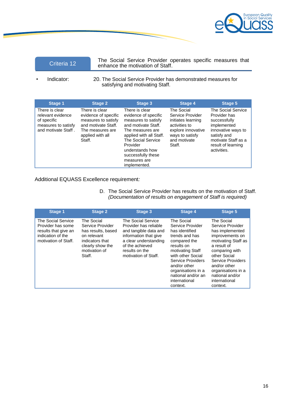

The Social Service Provider operates specific measures that<br>enhance the motivation of Staff.

• Indicator: 20. The Social Service Provider has demonstrated measures for satisfying and motivating Staff.

| Stage 1                                                                                          | <b>Stage 2</b>                                                                                                                         | Stage 3                                                                                                                                                                                                                                        | <b>Stage 4</b>                                                                                                                           | <b>Stage 5</b>                                                                                                                                                            |
|--------------------------------------------------------------------------------------------------|----------------------------------------------------------------------------------------------------------------------------------------|------------------------------------------------------------------------------------------------------------------------------------------------------------------------------------------------------------------------------------------------|------------------------------------------------------------------------------------------------------------------------------------------|---------------------------------------------------------------------------------------------------------------------------------------------------------------------------|
| There is clear<br>relevant evidence<br>of specific<br>measures to satisfy<br>and motivate Staff. | There is clear<br>evidence of specific<br>measures to satisfy<br>and motivate Staff.<br>The measures are<br>applied with all<br>Staff. | There is clear<br>evidence of specific<br>measures to satisfy<br>and motivate Staff.<br>The measures are<br>applied with all Staff.<br>The Social Service<br>Provider<br>understands how<br>successfully these<br>measures are<br>implemented. | The Social<br>Service Provider<br>initiates learning<br>activities to<br>explore innovative<br>ways to satisfy<br>and motivate<br>Staff. | <b>The Social Service</b><br>Provider has<br>successfully<br>implemented<br>innovative ways to<br>satisfy and<br>motivate Staff as a<br>result of learning<br>activities. |

### Additional EQUASS Excellence requirement*:*

D. The Social Service Provider has results on the motivation of Staff. *(Documentation of results on engagement of Staff is required)*

| <b>Stage 1</b>                                                                                               | <b>Stage 2</b>                                                                                                                        | <b>Stage 3</b>                                                                                                                                                                      | <b>Stage 4</b>                                                                                                                                                                                                                                          | <b>Stage 5</b>                                                                                                                                                                                                                                          |
|--------------------------------------------------------------------------------------------------------------|---------------------------------------------------------------------------------------------------------------------------------------|-------------------------------------------------------------------------------------------------------------------------------------------------------------------------------------|---------------------------------------------------------------------------------------------------------------------------------------------------------------------------------------------------------------------------------------------------------|---------------------------------------------------------------------------------------------------------------------------------------------------------------------------------------------------------------------------------------------------------|
| The Social Service<br>Provider has some<br>results that give an<br>indication of the<br>motivation of Staff. | The Social<br>Service Provider<br>has results, based<br>on relevant<br>indicators that<br>clearly show the<br>motivation of<br>Staff. | The Social Service<br>Provider has reliable<br>and tangible data and<br>information that give<br>a clear understanding<br>of the achieved<br>results on the<br>motivation of Staff. | The Social<br>Service Provider<br>has identified<br>trends and has<br>compared the<br>results on<br>motivating Staff<br>with other Social<br>Service Providers<br>and/or other<br>organisations in a<br>national and/or an<br>international<br>context. | The Social<br>Service Provider<br>has implemented<br>improvements on<br>motivating Staff as<br>a result of<br>comparing with<br>other Social<br>Service Providers<br>and/or other<br>organisations in a<br>national and/or<br>international<br>context. |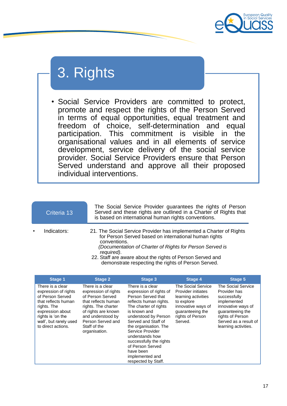

# 3. Rights

• Social Service Providers are committed to protect, promote and respect the rights of the Person Served in terms of equal opportunities, equal treatment and freedom of choice, self-determination and equal freedom of choice, self-determination participation. This commitment is visible in the organisational values and in all elements of service development, service delivery of the social service provider. Social Service Providers ensure that Person Served understand and approve all their proposed individual interventions.

|           | Criteria 13 | The Social Service Provider guarantees the rights of Person<br>Served and these rights are outlined in a Charter of Rights that<br>is based on international human rights conventions.                                                                                                                                                     |
|-----------|-------------|--------------------------------------------------------------------------------------------------------------------------------------------------------------------------------------------------------------------------------------------------------------------------------------------------------------------------------------------|
| $\bullet$ | Indicators: | 21. The Social Service Provider has implemented a Charter of Rights<br>for Person Served based on international human rights<br>conventions.<br>(Documentation of Charter of Rights for Person Served is<br>required).<br>22. Staff are aware about the rights of Person Served and<br>demonstrate respecting the rights of Person Served. |

| <b>Stage 1</b>                                                                                                                                                                              | <b>Stage 2</b>                                                                                                                                                                                               | Stage 3                                                                                                                                                                                                                                                                                                                                                   | <b>Stage 4</b>                                                                                                                                         | Stage 5                                                                                                                                                                          |
|---------------------------------------------------------------------------------------------------------------------------------------------------------------------------------------------|--------------------------------------------------------------------------------------------------------------------------------------------------------------------------------------------------------------|-----------------------------------------------------------------------------------------------------------------------------------------------------------------------------------------------------------------------------------------------------------------------------------------------------------------------------------------------------------|--------------------------------------------------------------------------------------------------------------------------------------------------------|----------------------------------------------------------------------------------------------------------------------------------------------------------------------------------|
| There is a clear<br>expression of rights<br>of Person Served<br>that reflects human<br>rights. The<br>expression about<br>rights is 'on the<br>wall', but rarely used<br>to direct actions. | There is a clear<br>expression of rights<br>of Person Served<br>that reflects human<br>rights. The charter<br>of rights are known<br>and understood by<br>Person Served and<br>Staff of the<br>organisation. | There is a clear<br>expression of rights of<br>Person Served that<br>reflects human rights.<br>The charter of rights<br>is known and<br>understood by Person<br>Served and Staff of<br>the organisation. The<br>Service Provider<br>understands how<br>successfully the rights<br>of Person Served<br>have been<br>implemented and<br>respected by Staff. | The Social Service<br>Provider initiates<br>learning activities<br>to explore<br>innovative ways of<br>guaranteeing the<br>rights of Person<br>Served. | The Social Service<br>Provider has<br>successfully<br>implemented<br>innovative ways of<br>guaranteeing the<br>rights of Person<br>Served as a result of<br>learning activities. |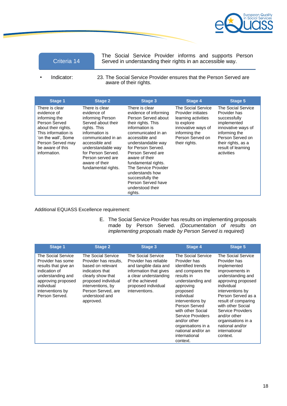

The Social Service Provider informs and supports Person Criteria 14 Served in understanding their rights in an accessible way.

Indicator: 23. The Social Service Provider ensures that the Person Served are aware of their rights.

| <b>Stage 1</b>                                                                                                                                                                                | <b>Stage 2</b>                                                                                                                                                                                                                                              | Stage 3                                                                                                                                                                                                                                                                                                                                                                      | Stage 4                                                                                                                                                   | <b>Stage 5</b>                                                                                                                                                                                |
|-----------------------------------------------------------------------------------------------------------------------------------------------------------------------------------------------|-------------------------------------------------------------------------------------------------------------------------------------------------------------------------------------------------------------------------------------------------------------|------------------------------------------------------------------------------------------------------------------------------------------------------------------------------------------------------------------------------------------------------------------------------------------------------------------------------------------------------------------------------|-----------------------------------------------------------------------------------------------------------------------------------------------------------|-----------------------------------------------------------------------------------------------------------------------------------------------------------------------------------------------|
| There is clear<br>evidence of<br>informing the<br>Person Served<br>about their rights.<br>This information is<br>'on the wall'. Some<br>Person Served may<br>be aware of this<br>information. | There is clear<br>evidence of<br>informing Person<br>Served about their<br>rights. This<br>information is<br>communicated in an<br>accessible and<br>understandable way<br>for Person Served.<br>Person served are<br>aware of their<br>fundamental rights. | There is clear<br>evidence of informing<br>Person Served about<br>their rights. This<br>information is<br>communicated in an<br>accessible and<br>understandable way<br>for Person Served.<br>Person Served are<br>aware of their<br>fundamental rights.<br>The Service Provider<br>understands how<br>successfully the<br>Person Served have<br>understood their<br>rights. | The Social Service<br>Provider initiates<br>learning activities<br>to explore<br>innovative ways of<br>informing the<br>Person Served on<br>their rights. | <b>The Social Service</b><br>Provider has<br>successfully<br>implemented<br>innovative ways of<br>informing the<br>Person Served on<br>their rights, as a<br>result of learning<br>activities |

Additional EQUASS Excellence requirement:

E. The Social Service Provider has results on implementing proposals made by Person Served. *(Documentation of results on implementing proposals made by Person Served is required)*

| Stage 1                                                                                                                                                                         | <b>Stage 2</b>                                                                                                                                                                                            | Stage 3                                                                                                                                                                             | Stage 4                                                                                                                                                                                                                                                                                                                       | <b>Stage 5</b>                                                                                                                                                                                                                                                                                                                 |
|---------------------------------------------------------------------------------------------------------------------------------------------------------------------------------|-----------------------------------------------------------------------------------------------------------------------------------------------------------------------------------------------------------|-------------------------------------------------------------------------------------------------------------------------------------------------------------------------------------|-------------------------------------------------------------------------------------------------------------------------------------------------------------------------------------------------------------------------------------------------------------------------------------------------------------------------------|--------------------------------------------------------------------------------------------------------------------------------------------------------------------------------------------------------------------------------------------------------------------------------------------------------------------------------|
| The Social Service<br>Provider has some<br>results that give an<br>indication of<br>understanding and<br>approving proposed<br>individual<br>interventions by<br>Person Served. | The Social Service<br>Provider has results,<br>based on relevant<br>indicators that<br>clearly show that<br>proposed individual<br>interventions, by<br>Person Served, are<br>understood and<br>approved. | The Social Service<br>Provider has reliable<br>and tangible data and<br>information that gives<br>a clear understanding<br>of the achieved<br>proposed individual<br>interventions. | The Social Service<br>Provider has<br>identified trends<br>and compares the<br>results in<br>understanding and<br>approving<br>proposed<br>individual<br>interventions by<br>Person Served<br>with other Social<br>Service Providers<br>and/or other<br>organisations in a<br>national and/or an<br>international<br>context. | The Social Service<br>Provider has<br>implemented<br>improvements in<br>understanding and<br>approving proposed<br>individual<br>interventions by<br>Person Served as a<br>result of comparing<br>with other Social<br>Service Providers<br>and/or other<br>organisations in a<br>national and/or<br>international<br>context. |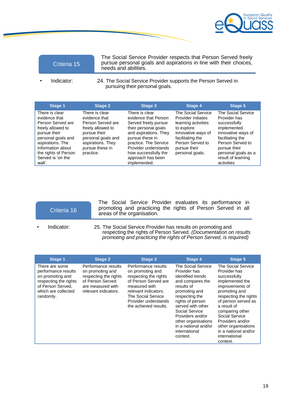

The Social Service Provider respects that Person Served freely pursue personal goals and aspirations in line with their choices, needs and abilities.

Indicator: 24. The Social Service Provider supports the Person Served in pursuing their personal goals.

| <b>Stage 1</b>                                                                                                                                                                                                  | <b>Stage 2</b>                                                                                                                                                       | <b>Stage 3</b>                                                                                                                                                                                                                                   | Stage 4                                                                                                                                                                               | Stage 5                                                                                                                                                                                                    |
|-----------------------------------------------------------------------------------------------------------------------------------------------------------------------------------------------------------------|----------------------------------------------------------------------------------------------------------------------------------------------------------------------|--------------------------------------------------------------------------------------------------------------------------------------------------------------------------------------------------------------------------------------------------|---------------------------------------------------------------------------------------------------------------------------------------------------------------------------------------|------------------------------------------------------------------------------------------------------------------------------------------------------------------------------------------------------------|
| There is clear<br>evidence that<br>Person Served are<br>freely allowed to<br>pursue their<br>personal goals and<br>aspirations. The<br>information about<br>the rights of Person<br>Served is 'on the<br>wall'. | There is clear<br>evidence that<br>Person Served are<br>freely allowed to<br>pursue their<br>personal goals and<br>aspirations. They<br>pursue these in<br>practice. | There is clear<br>evidence that Person<br>Served freely pursue<br>their personal goals<br>and aspirations. They<br>pursue these in<br>practice. The Service<br>Provider understands<br>how successfully the<br>approach has been<br>implemented. | <b>The Social Service</b><br>Provider initiates<br>learning activities<br>to explore<br>innovative ways of<br>facilitating the<br>Person Served to<br>pursue their<br>personal goals. | The Social Service<br>Provider has<br>successfully<br>implemented<br>innovative ways of<br>facilitating the<br>Person Served to<br>pursue their<br>personal goals as a<br>result of learning<br>activities |

|           | Criteria 16 | The Social Service Provider evaluates its performance in<br>promoting and practicing the rights of Person Served in all<br>areas of the organisation. |
|-----------|-------------|-------------------------------------------------------------------------------------------------------------------------------------------------------|
| $\bullet$ | Indicator:  | 25. The Social Service Provider has results on promoting and                                                                                          |

respecting the rights of Person Served. *(Documentation on results promoting and practicing the rights of Person Served, is required)*

| <b>Stage 1</b>                                                                                                                              | <b>Stage 2</b>                                                                                                                    | <b>Stage 3</b>                                                                                                                                                                                           | Stage 4                                                                                                                                                                                                                                                                                 | <b>Stage 5</b>                                                                                                                                                                                                                                                                                                |
|---------------------------------------------------------------------------------------------------------------------------------------------|-----------------------------------------------------------------------------------------------------------------------------------|----------------------------------------------------------------------------------------------------------------------------------------------------------------------------------------------------------|-----------------------------------------------------------------------------------------------------------------------------------------------------------------------------------------------------------------------------------------------------------------------------------------|---------------------------------------------------------------------------------------------------------------------------------------------------------------------------------------------------------------------------------------------------------------------------------------------------------------|
| There are some<br>performance results<br>on promoting and<br>respecting the rights<br>of Person Served.<br>which are collected<br>randomly. | Performance results<br>on promoting and<br>respecting the rights<br>of Person Served<br>are measured with<br>relevant indicators. | Performance results<br>on promoting and<br>respecting the rights<br>of Person Served are<br>measured with<br>relevant indicators.<br>The Social Service<br>Provider understands<br>the achieved results. | The Social Service<br>Provider has<br>identified trends<br>and compares the<br>results of<br>promoting and<br>respecting the<br>rights of person<br>served with other<br>Social Service<br>Providers and/or<br>other organisations<br>in a national and/or<br>international<br>context. | The Social Service<br>Provider has<br>successfully<br>implemented the<br>improvements of<br>promoting and<br>respecting the rights<br>of person served as<br>a result of<br>comparing other<br>Social Service<br>Providers and/or<br>other organisations<br>in a national and/or<br>international<br>context. |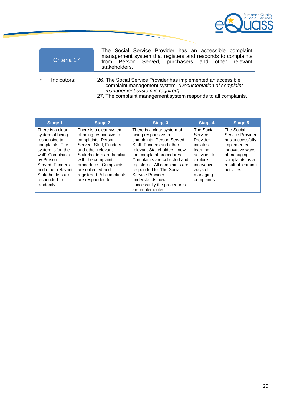

| Criteria 17 | The Social Service Provider has an accessible complaint<br>management system that registers and responds to complaints<br>from Person Served, purchasers and other relevant<br>stakeholders.                                   |
|-------------|--------------------------------------------------------------------------------------------------------------------------------------------------------------------------------------------------------------------------------|
| Indicators: | 26. The Social Service Provider has implemented an accessible<br>complaint management system. (Documentation of complaint<br>management system is required)<br>27. The complaint management system responds to all complaints. |

| Stage 1                                                                                                                                                                                                                  | <b>Stage 2</b>                                                                                                                                                                                                                                                               | Stage 3                                                                                                                                                                                                                                                                                                                                                        | <b>Stage 4</b>                                                                                                                             | Stage 5                                                                                                                                                     |
|--------------------------------------------------------------------------------------------------------------------------------------------------------------------------------------------------------------------------|------------------------------------------------------------------------------------------------------------------------------------------------------------------------------------------------------------------------------------------------------------------------------|----------------------------------------------------------------------------------------------------------------------------------------------------------------------------------------------------------------------------------------------------------------------------------------------------------------------------------------------------------------|--------------------------------------------------------------------------------------------------------------------------------------------|-------------------------------------------------------------------------------------------------------------------------------------------------------------|
| There is a clear<br>system of being<br>responsive to<br>complaints. The<br>system is 'on the<br>wall'. Complaints<br>by Person<br>Served, Funders<br>and other relevant<br>Stakeholders are<br>responded to<br>randomly. | There is a clear system<br>of being responsive to<br>complaints. Person<br>Served, Staff, Funders<br>and other relevant<br>Stakeholders are familiar<br>with the complaint<br>procedures. Complaints<br>are collected and<br>registered. All complaints<br>are responded to. | There is a clear system of<br>being responsive to<br>complaints. Person Served,<br>Staff. Funders and other<br>relevant Stakeholders know<br>the complaint procedures.<br>Complaints are collected and<br>registered. All complaints are<br>responded to. The Social<br>Service Provider<br>understands how<br>successfully the procedures<br>are implemented. | The Social<br>Service<br>Provider<br>initiates<br>learning<br>activities to<br>explore<br>innovative<br>ways of<br>managing<br>complaints. | The Social<br>Service Provider<br>has successfully<br>implemented<br>innovative ways<br>of managing<br>complaints as a<br>result of learning<br>activities. |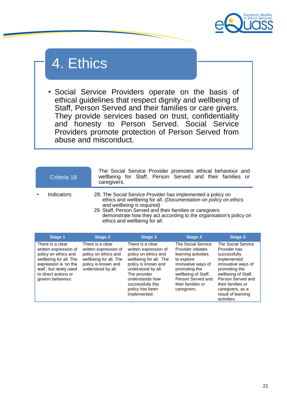

## 4. Ethics

• Social Service Providers operate on the basis of ethical guidelines that respect dignity and wellbeing of Staff, Person Served and their families or care givers. They provide services based on trust, confidentiality and honesty to Person Served. Social Service Providers promote protection of Person Served from abuse and misconduct.

| Criteria 18 | The Social Service Provider promotes ethical behaviour and<br>wellbeing for Staff, Person Served and their families or<br>caregivers.                                                                                                                                                                                             |
|-------------|-----------------------------------------------------------------------------------------------------------------------------------------------------------------------------------------------------------------------------------------------------------------------------------------------------------------------------------|
| Indicators: | 28. The Social Service Provider has implemented a policy on<br>ethics and wellbeing for all. (Documentation on policy on ethics<br>and wellbeing is required)<br>29. Staff, Person Served and their families or caregivers<br>demonstrate how they act according to the organisation's policy on<br>ethics and wellbeing for all. |

| <b>Stage 1</b>                                                                                                                                                                              | <b>Stage 2</b>                                                                                                                           | <b>Stage 3</b>                                                                                                                                                                                                                      | Stage 4                                                                                                                                                                                              | <b>Stage 5</b>                                                                                                                                                                                                                     |
|---------------------------------------------------------------------------------------------------------------------------------------------------------------------------------------------|------------------------------------------------------------------------------------------------------------------------------------------|-------------------------------------------------------------------------------------------------------------------------------------------------------------------------------------------------------------------------------------|------------------------------------------------------------------------------------------------------------------------------------------------------------------------------------------------------|------------------------------------------------------------------------------------------------------------------------------------------------------------------------------------------------------------------------------------|
| There is a clear<br>written expression of<br>policy on ethics and<br>wellbeing for all. The<br>expression is 'on the<br>wall', but rarely used<br>to direct actions or<br>govern behaviour. | There is a clear<br>written expression of<br>policy on ethics and<br>wellbeing for all. The<br>policy is known and<br>understood by all. | There is a clear<br>written expression of<br>policy on ethics and<br>wellbeing for all. The<br>policy is known and<br>understood by all.<br>The provider<br>understands how<br>successfully this<br>policy has been<br>implemented. | The Social Service<br>Provider initiates<br>learning activities<br>to explore<br>innovative ways of<br>promoting the<br>wellbeing of Staff,<br>Person Served and<br>their families or<br>caregivers. | The Social Service<br>Provider has<br>successfully<br>implemented<br>innovative ways of<br>promoting the<br>wellbeing of Staff,<br>Person Served and<br>their families or<br>caregivers, as a<br>result of learning<br>activities. |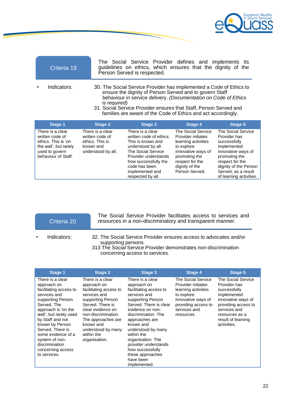

| Criteria 19                         |                                     | The Social Service Provider defines and implements its<br>guidelines on ethics, which ensures that the dignity of the<br>Person Served is respected.                                                                                                                                                                                                            |                                          |                                           |  |
|-------------------------------------|-------------------------------------|-----------------------------------------------------------------------------------------------------------------------------------------------------------------------------------------------------------------------------------------------------------------------------------------------------------------------------------------------------------------|------------------------------------------|-------------------------------------------|--|
| Indicators:                         |                                     | 30. The Social Service Provider has implemented a Code of Ethics to<br>ensure the dignity of Person Served and to govern Staff<br>behaviour in service delivery. (Documentation on Code of Ethics<br><i>is required</i> )<br>31. Social Service Provider ensures that Staff, Person Served and<br>families are aware of the Code of Ethics and act accordingly. |                                          |                                           |  |
| Stage 1                             | Stage 2                             | Stage 3                                                                                                                                                                                                                                                                                                                                                         | <b>Stage 4</b>                           | Stage 5                                   |  |
| There is a clear<br>writton codo of | There is a clear<br>writton codo of | There is a clear<br>writton codo of othico                                                                                                                                                                                                                                                                                                                      | The Social Service<br>Drovidor initiator | <b>The Social Service</b><br>Drovidor hoc |  |

| written code of       | written code of    | written code of ethics. | Provider initiates  | Provider has            |
|-----------------------|--------------------|-------------------------|---------------------|-------------------------|
| ethics. This is 'on   | ethics. This is    | This is known and       | learning activities | successfully            |
| the wall', but rarely | known and          | understood by all.      | to explore          | implemented             |
| used to govern        | understood by all. | The Social Service      | innovative ways of  | innovative ways of      |
| behaviour of Staff.   |                    | Provider understands    | promoting the       | promoting the           |
|                       |                    | how successfully the    | respect for the     | respect for the         |
|                       |                    | code has been           | dignity of the      | dignity of the Person   |
|                       |                    | implemented and         | Person Served.      | Served, as a result     |
|                       |                    | respected by all.       |                     | of learning activities. |

The Social Service Provider facilitates access to services and Criteria 20 resources in a non-discriminatory and transparent manner.

- 
- Indicators: 32. The Social Service Provider ensures access to advocates and/or supporting persons.
	- 313 The Social Service Provider demonstrates non-discrimination concerning access to services*.*

| <b>Stage 1</b>                                                                                                                                                                                                                                                                                                           | <b>Stage 2</b>                                                                                                                                                                                                                                         | Stage 3                                                                                                                                                                                                                                                                                                                                                  | <b>Stage 4</b>                                                                                                                                           | <b>Stage 5</b>                                                                                                                                                                        |
|--------------------------------------------------------------------------------------------------------------------------------------------------------------------------------------------------------------------------------------------------------------------------------------------------------------------------|--------------------------------------------------------------------------------------------------------------------------------------------------------------------------------------------------------------------------------------------------------|----------------------------------------------------------------------------------------------------------------------------------------------------------------------------------------------------------------------------------------------------------------------------------------------------------------------------------------------------------|----------------------------------------------------------------------------------------------------------------------------------------------------------|---------------------------------------------------------------------------------------------------------------------------------------------------------------------------------------|
| There is a clear<br>approach on<br>facilitating access to<br>services and<br>supporting Person<br>Served. The<br>approach is 'on the<br>wall', but rarely used<br>by Staff and not<br>known by Person<br>Served. There is<br>some evidence of a<br>system of non-<br>discrimination<br>concerning access<br>to services. | There is a clear<br>approach on<br>facilitating access to<br>services and<br>supporting Person<br>Served. There is<br>clear evidence on<br>non-discrimination.<br>The approaches are<br>known and<br>understood by many<br>within the<br>organisation. | There is a clear<br>approach on<br>facilitating access to<br>services and<br>supporting Person<br>Served. There is clear<br>evidence on non-<br>discrimination. The<br>approaches are<br>known and<br>understood by many<br>within the<br>organisation. The<br>provider understands<br>how successfully<br>these approaches<br>have been<br>implemented. | The Social Service<br>Provider initiates<br>learning activities<br>to explore<br>innovative ways of<br>providing access to<br>services and<br>resources. | The Social Service<br>Provider has<br>successfully<br>implemented<br>innovative ways of<br>providing access to<br>services and<br>resources as a<br>result of learning<br>activities. |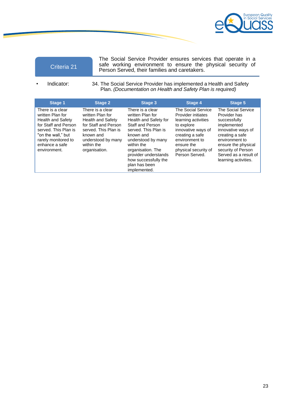

| Criteria 21 |  |
|-------------|--|
|             |  |

The Social Service Provider ensures services that operate in a safe working environment to ensure the physical security of Person Served, their families and caretakers.

• Indicator: 34. The Social Service Provider has implemented a Health and Safety Plan. *(Documentation on Health and Safety Plan is required)*

| <b>Stage 1</b>                                                                                                                                                                                  | <b>Stage 2</b>                                                                                                                                                              | Stage 3                                                                                                                                                                                                                                                                 | Stage 4                                                                                                                                                                                          | Stage 5                                                                                                                                                                                                                    |
|-------------------------------------------------------------------------------------------------------------------------------------------------------------------------------------------------|-----------------------------------------------------------------------------------------------------------------------------------------------------------------------------|-------------------------------------------------------------------------------------------------------------------------------------------------------------------------------------------------------------------------------------------------------------------------|--------------------------------------------------------------------------------------------------------------------------------------------------------------------------------------------------|----------------------------------------------------------------------------------------------------------------------------------------------------------------------------------------------------------------------------|
| There is a clear<br>written Plan for<br><b>Health and Safety</b><br>for Staff and Person<br>served. This Plan is<br>"on the wall." but<br>rarely monitored to<br>enhance a safe<br>environment. | There is a clear<br>written Plan for<br>Health and Safety<br>for Staff and Person<br>served. This Plan is<br>known and<br>understood by many<br>within the<br>organisation. | There is a clear<br>written Plan for<br>Health and Safety for<br><b>Staff and Person</b><br>served. This Plan is<br>known and<br>understood by many<br>within the<br>organisation. The<br>provider understands<br>how successfully the<br>plan has been<br>implemented. | The Social Service<br>Provider initiates<br>learning activities<br>to explore<br>innovative ways of<br>creating a safe<br>environment to<br>ensure the<br>physical security of<br>Person Served. | The Social Service<br>Provider has<br>successfully<br>implemented<br>innovative ways of<br>creating a safe<br>environment to<br>ensure the physical<br>security of Person<br>Served as a result of<br>learning activities. |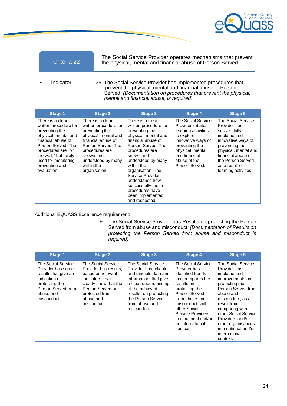

The Social Service Provider operates mechanisms that prevent Criteria 22 the physical, mental and financial abuse of Person Served

• Indicator: 35. The Social Service Provider has implemented procedures that prevent the physical, mental and financial abuse of Person Served. *(Documentation on procedures that prevent the physical, mental and financial abuse, is required)*

| <b>Stage 1</b>                                                                                                                                                                                                                         | <b>Stage 2</b>                                                                                                                                                                                                      | Stage 3                                                                                                                                                                                                                                                                                                                                       | <b>Stage 4</b>                                                                                                                                                                               | <b>Stage 5</b>                                                                                                                                                                                                         |
|----------------------------------------------------------------------------------------------------------------------------------------------------------------------------------------------------------------------------------------|---------------------------------------------------------------------------------------------------------------------------------------------------------------------------------------------------------------------|-----------------------------------------------------------------------------------------------------------------------------------------------------------------------------------------------------------------------------------------------------------------------------------------------------------------------------------------------|----------------------------------------------------------------------------------------------------------------------------------------------------------------------------------------------|------------------------------------------------------------------------------------------------------------------------------------------------------------------------------------------------------------------------|
| There is a clear<br>written procedure for<br>preventing the<br>physical, mental and<br>financial abuse of<br>Person Served. The<br>procedures are "on<br>the wall," but rarely<br>used for monitoring<br>prevention and<br>evaluation. | There is a clear<br>written procedure for<br>preventing the<br>physical, mental and<br>financial abuse of<br>Person Served. The<br>procedures are<br>known and<br>understood by many<br>within the<br>organisation. | There is a clear<br>written procedure for<br>preventing the<br>physical, mental and<br>financial abuse of<br>Person Served. The<br>procedures are<br>known and<br>understood by many<br>within the<br>organisation. The<br>Service Provider<br>understands how<br>successfully these<br>procedures have<br>been implemented<br>and respected. | The Social Service<br>Provider initiates<br>learning activities<br>to explore<br>innovative ways of<br>preventing the<br>physical, mental<br>and financial<br>abuse of the<br>Person Served. | The Social Service<br>Provider has<br>successfully<br>implemented<br>innovative ways of<br>preventing the<br>physical, mental and<br>financial abuse of<br>the Person Served<br>as a result of<br>learning activities. |

Additional EQUASS Excellence requirement:

F. The Social Service Provider has Results on protecting the Person Served from abuse and misconduct. *(Documentation of Results on protecting the Person Served from abuse and misconduct is required)*

| <b>Stage 1</b>                                                                                                                                      | <b>Stage 2</b>                                                                                                                                                                  | <b>Stage 3</b>                                                                                                                                                                                                            | <b>Stage 4</b>                                                                                                                                                                                                                                                  | Stage 5                                                                                                                                                                                                                                                                                                |
|-----------------------------------------------------------------------------------------------------------------------------------------------------|---------------------------------------------------------------------------------------------------------------------------------------------------------------------------------|---------------------------------------------------------------------------------------------------------------------------------------------------------------------------------------------------------------------------|-----------------------------------------------------------------------------------------------------------------------------------------------------------------------------------------------------------------------------------------------------------------|--------------------------------------------------------------------------------------------------------------------------------------------------------------------------------------------------------------------------------------------------------------------------------------------------------|
| The Social Service<br>Provider has some<br>results that give an<br>indication of<br>protecting the<br>Person Served from<br>abuse and<br>misconduct | The Social Service<br>Provider has results,<br>based on relevant<br>indicators, that<br>clearly show that the<br>Person Served are<br>protected from<br>abuse and<br>misconduct | The Social Service<br>Provider has reliable<br>and tangible data and<br>information, that give<br>a clear understanding<br>of the achieved<br>results, on protecting<br>the Person Served<br>from abuse and<br>misconduct | The Social Service<br>Provider has<br>identified trends<br>and compares the<br>results on<br>protecting the<br>Person Served<br>from abuse and<br>misconduct, with<br>other Social<br>Service Providers<br>in a national and/or<br>an international<br>context. | The Social Service<br>Provider has<br>implemented<br>improvements on<br>protecting the<br>Person Served from<br>abuse and<br>misconduct, as a<br>result from<br>comparing with<br>other Social Service<br>Providers and/or<br>other organisations<br>in a national and/or<br>international<br>context. |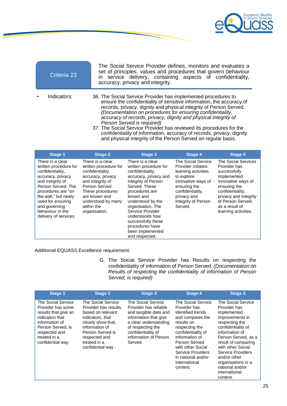

The Social Service Provider defines, monitors and evaluates a set of principles, values and procedures that govern behaviour in service delivery, containing aspects of confidentiality, accuracy, privacy and integrity.

• Indicators: 36. The Social Service Provider has implemented procedures to ensure the confidentiality of sensitive information, the accuracy of records, privacy, dignity and physical integrity of Person Served. *(Documentation on procedures for ensuring confidentiality, accuracy of records, privacy, dignity and physical integrity of Person Served is required)* 

37. The Social Service Provider has reviewed its procedures for the confidentiality of information, accuracy of records, privacy, dignity and physical integrity of the Person Served on regular basis.

| <b>Stage 1</b>                                                                                                                                                                                                                                                 | <b>Stage 2</b>                                                                                                                                                                                                      | <b>Stage 3</b>                                                                                                                                                                                                                                                                                                                 | <b>Stage 4</b>                                                                                                                                                                           | <b>Stage 5</b>                                                                                                                                                                                                       |
|----------------------------------------------------------------------------------------------------------------------------------------------------------------------------------------------------------------------------------------------------------------|---------------------------------------------------------------------------------------------------------------------------------------------------------------------------------------------------------------------|--------------------------------------------------------------------------------------------------------------------------------------------------------------------------------------------------------------------------------------------------------------------------------------------------------------------------------|------------------------------------------------------------------------------------------------------------------------------------------------------------------------------------------|----------------------------------------------------------------------------------------------------------------------------------------------------------------------------------------------------------------------|
| There is a clear<br>written procedure for<br>confidentiality,<br>accuracy, privacy<br>and integrity of<br>Person Served. The<br>procedures are "on<br>the wall," but rarely<br>used for ensuring<br>and governing<br>behaviour in the<br>delivery of services. | There is a clear.<br>written procedure for<br>confidentiality,<br>accuracy, privacy<br>and integrity of<br>Person Served.<br>These procedures<br>are known and<br>understood by many<br>within the<br>organisation. | There is a clear.<br>written procedure for<br>confidentiality,<br>accuracy, privacy and<br>integrity of Person<br>Served. These<br>procedures are<br>known and<br>understood by the<br>organisation. The<br>Service Provider<br>understands how<br>successfully these<br>procedures have<br>been implemented<br>and respected. | The Social Service<br>Provider initiates<br>learning activities<br>to explore<br>innovative ways of<br>ensuring the<br>confidentiality,<br>privacy and<br>integrity of Person<br>Served. | The Social Services<br>Provider has<br>successfully<br>implemented<br>innovative ways of<br>ensuring the<br>confidentiality,<br>privacy and integrity<br>of Person Served.<br>as a result of<br>learning activities. |

Additional EQUASS Excellence requirement:

G. The Social Service Provider has Results on respecting the confidentiality of information of Person Served. *(Documentation on Results of respecting the confidentiality of information of Person Served, is required)*

| Stage 1                                                                                                                                                                         | <b>Stage 2</b>                                                                                                                                                                                         | <b>Stage 3</b>                                                                                                                                                                                        | <b>Stage 4</b>                                                                                                                                                                                                                                                    | <b>Stage 5</b>                                                                                                                                                                                                                                                                                               |
|---------------------------------------------------------------------------------------------------------------------------------------------------------------------------------|--------------------------------------------------------------------------------------------------------------------------------------------------------------------------------------------------------|-------------------------------------------------------------------------------------------------------------------------------------------------------------------------------------------------------|-------------------------------------------------------------------------------------------------------------------------------------------------------------------------------------------------------------------------------------------------------------------|--------------------------------------------------------------------------------------------------------------------------------------------------------------------------------------------------------------------------------------------------------------------------------------------------------------|
| The Social Service<br>Provider has some<br>results that give an<br>indication that<br>information of<br>Person Served, is<br>respected and<br>treated in a<br>confidential way. | The Social Service<br>Provider has results.<br>based on relevant<br>indicators, that<br>clearly show that,<br>information of<br>Person Served is<br>respected and<br>treated in a<br>confidential way. | The Social Service<br>Provider has reliable<br>and tangible data and<br>information that give<br>a clear understanding<br>of respecting the<br>confidentiality of<br>information of Person<br>Served. | The Social Service<br>Provider has<br>identified trends<br>and compares the<br>results on<br>respecting the<br>confidentiality of<br>information of<br>Person Served<br>with other Social<br>Service Providers<br>in national and/or<br>international<br>context. | The Social Service<br>Provider has<br>implemented<br>improvements in<br>respecting the<br>confidentiality of<br>information of<br>Person Served, as a<br>result of comparing<br>with other Social<br>Service Providers<br>and/or other<br>organisations in a<br>national and/or<br>international<br>context. |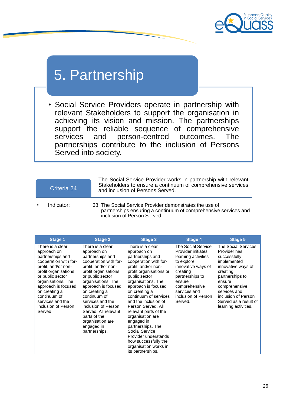

## 5. Partnership

• Social Service Providers operate in partnership with relevant Stakeholders to support the organisation in achieving its vision and mission. The partnerships support the reliable sequence of comprehensive<br>services and person-centred outcomes. The services and person-centred outcomes. The partnerships contribute to the inclusion of Persons Served into society.

### Criteria 24

The Social Service Provider works in partnership with relevant Stakeholders to ensure a continuum of comprehensive services and inclusion of Persons Served.

- 
- Indicator: 38. The Social Service Provider demonstrates the use of partnerships ensuring a continuum of comprehensive services and inclusion of Person Served.

| Stage 1                                                                                                                                                                                                                                                                             | <b>Stage 2</b>                                                                                                                                                                                                                                                                                                                                                      | Stage 3                                                                                                                                                                                                                                                                                                                                                                                                                                                                              | Stage 4                                                                                                                                                                                                         | Stage 5                                                                                                                                                                                                                                    |
|-------------------------------------------------------------------------------------------------------------------------------------------------------------------------------------------------------------------------------------------------------------------------------------|---------------------------------------------------------------------------------------------------------------------------------------------------------------------------------------------------------------------------------------------------------------------------------------------------------------------------------------------------------------------|--------------------------------------------------------------------------------------------------------------------------------------------------------------------------------------------------------------------------------------------------------------------------------------------------------------------------------------------------------------------------------------------------------------------------------------------------------------------------------------|-----------------------------------------------------------------------------------------------------------------------------------------------------------------------------------------------------------------|--------------------------------------------------------------------------------------------------------------------------------------------------------------------------------------------------------------------------------------------|
| There is a clear<br>approach on<br>partnerships and<br>cooperation with for-<br>profit, and/or non-<br>profit organisations<br>or public sector<br>organisations. The<br>approach is focused<br>on creating a<br>continuum of<br>services and the<br>inclusion of Person<br>Served. | There is a clear<br>approach on<br>partnerships and<br>cooperation with for-<br>profit, and/or non-<br>profit organisations<br>or public sector<br>organisations. The<br>approach is focused<br>on creating a<br>continuum of<br>services and the<br>inclusion of Person<br>Served. All relevant<br>parts of the<br>organisation are<br>engaged in<br>partnerships. | There is a clear<br>approach on<br>partnerships and<br>cooperation with for-<br>profit, and/or non-<br>profit organisations or<br>public sector<br>organisations. The<br>approach is focused<br>on creating a<br>continuum of services<br>and the inclusion of<br>Person Served, All<br>relevant parts of the<br>organisation are<br>engaged in<br>partnerships. The<br>Social Service<br>Provider understands<br>how successfully the<br>organisation works in<br>its partnerships. | The Social Service<br>Provider initiates<br>learning activities<br>to explore<br>innovative ways of<br>creating<br>partnerships to<br>ensure<br>comprehensive<br>services and<br>inclusion of Person<br>Served. | The Social Services<br>Provider has<br>successfully<br>implemented<br>innovative ways of<br>creating<br>partnerships to<br>ensure<br>comprehensive<br>services and<br>inclusion of Person<br>Served as a result of<br>learning activities. |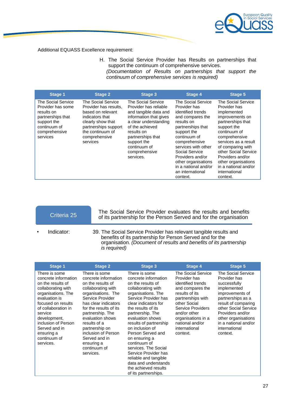

Additional EQUASS Excellence requirement:

H. The Social Service Provider has Results on partnerships that support the continuum of comprehensive services. *(Documentation of Results on partnerships that support the continuum of comprehensive services is required)*

| <b>Stage 1</b>                                                                                                                                | <b>Stage 2</b>                                                                                                                                                                    | Stage 3                                                                                                                                                                                                                                    | Stage 4                                                                                                                                                                                                                                                                                                    | <b>Stage 5</b>                                                                                                                                                                                                                                                                                                 |
|-----------------------------------------------------------------------------------------------------------------------------------------------|-----------------------------------------------------------------------------------------------------------------------------------------------------------------------------------|--------------------------------------------------------------------------------------------------------------------------------------------------------------------------------------------------------------------------------------------|------------------------------------------------------------------------------------------------------------------------------------------------------------------------------------------------------------------------------------------------------------------------------------------------------------|----------------------------------------------------------------------------------------------------------------------------------------------------------------------------------------------------------------------------------------------------------------------------------------------------------------|
| <b>The Social Service</b><br>Provider has some<br>results on<br>partnerships that<br>support the<br>continuum of<br>comprehensive<br>services | The Social Service<br>Provider has results.<br>based on relevant<br>indicators that<br>clearly show that<br>partnerships support<br>the continuum of<br>comprehensive<br>services | The Social Service<br>Provider has reliable<br>and tangible data and<br>information that gives<br>a clear understanding<br>of the achieved<br>results on<br>partnerships that<br>support the<br>continuum of<br>comprehensive<br>services. | The Social Service<br>Provider has<br>identified trends<br>and compares the<br>results on<br>partnerships that<br>support the<br>continuum of<br>comprehensive<br>services with other<br>Social Service<br>Providers and/or<br>other organisations<br>in a national and/or<br>an international<br>context. | The Social Service<br>Provider has<br>implemented<br>improvements on<br>partnerships that<br>support the<br>continuum of<br>comprehensive<br>services as a result<br>of comparing with<br>other Social Service<br>Providers and/or<br>other organisations<br>in a national and/or<br>international<br>context. |

The Social Service Provider evaluates the results and benefits of its partnership for the Person Served and for the organisation Criteria 25

• Indicator: 39. The Social Service Provider has relevant tangible results and benefits of its partnership for Person Served and for the organisation. *(Document of results and benefits of its partnership is required)*

| Stage 1                                                                                                                                                                                                                                                                            | <b>Stage 2</b>                                                                                                                                                                                                                                                                                                                            | <b>Stage 3</b>                                                                                                                                                                                                                                                                                                                                                                                                                                                           | Stage 4                                                                                                                                                                                                                                              | Stage 5                                                                                                                                                                                                                                                  |
|------------------------------------------------------------------------------------------------------------------------------------------------------------------------------------------------------------------------------------------------------------------------------------|-------------------------------------------------------------------------------------------------------------------------------------------------------------------------------------------------------------------------------------------------------------------------------------------------------------------------------------------|--------------------------------------------------------------------------------------------------------------------------------------------------------------------------------------------------------------------------------------------------------------------------------------------------------------------------------------------------------------------------------------------------------------------------------------------------------------------------|------------------------------------------------------------------------------------------------------------------------------------------------------------------------------------------------------------------------------------------------------|----------------------------------------------------------------------------------------------------------------------------------------------------------------------------------------------------------------------------------------------------------|
| There is some<br>concrete information<br>on the results of<br>collaborating with<br>organisations. The<br>evaluation is<br>focused on results<br>of collaboration in<br>service<br>development,<br>inclusion of Person<br>Served and in<br>ensuring a<br>continuum of<br>services. | There is some<br>concrete information<br>on the results of<br>collaborating with<br>organisations. The<br>Service Provider<br>has clear indicators<br>for the results of its<br>partnership. The<br>evaluation shows<br>results of a<br>partnership on<br>inclusion of Person<br>Served and in<br>ensuring a<br>continuum of<br>services. | There is some<br>concrete information<br>on the results of<br>collaborating with<br>organisations. The<br>Service Provider has<br>clear indicators for<br>the results of its<br>partnership. The<br>evaluation shows<br>results of partnership<br>on inclusion of<br>Person Served and<br>on ensuring a<br>continuum of<br>services. The Social<br>Service Provider has<br>reliable and tangible<br>data and understands<br>the achieved results<br>of its partnerships. | The Social Service<br>Provider has<br>identified trends<br>and compares the<br>results of its<br>partnerships with<br>other Social<br><b>Service Providers</b><br>and/or other<br>organisations in a<br>national and/or<br>international<br>context. | The Social Service<br>Provider has<br>successfully<br>implemented<br>improvements of<br>partnerships as a<br>result of comparing<br>other Social Service<br>Providers and/or<br>other organisations<br>in a national and/or<br>international<br>context. |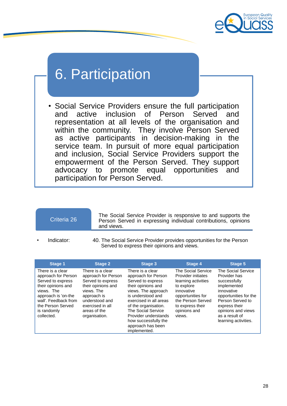

# 6. Participation

• Social Service Providers ensure the full participation and active inclusion of Person Served and representation at all levels of the organisation and within the community. They involve Person Served as active participants in decision-making in the service team. In pursuit of more equal participation and inclusion, Social Service Providers support the empowerment of the Person Served. They support advocacy to promote equal opportunities and participation for Person Served.

## Criteria 26

The Social Service Provider is responsive to and supports the Person Served in expressing individual contributions, opinions and views.

- 
- Indicator: 40. The Social Service Provider provides opportunities for the Person Served to express their opinions and views.

| <b>Stage 1</b>                                                                                                                                                                                    | <b>Stage 2</b>                                                                                                                                                                         | Stage 3                                                                                                                                                                                                                                                                                     | Stage 4                                                                                                                                                                             | Stage 5                                                                                                                                                                                                       |
|---------------------------------------------------------------------------------------------------------------------------------------------------------------------------------------------------|----------------------------------------------------------------------------------------------------------------------------------------------------------------------------------------|---------------------------------------------------------------------------------------------------------------------------------------------------------------------------------------------------------------------------------------------------------------------------------------------|-------------------------------------------------------------------------------------------------------------------------------------------------------------------------------------|---------------------------------------------------------------------------------------------------------------------------------------------------------------------------------------------------------------|
| There is a clear<br>approach for Person<br>Served to express<br>their opinions and<br>views. The<br>approach is 'on-the<br>wall'. Feedback from<br>the Person Served<br>is randomly<br>collected. | There is a clear<br>approach for Person<br>Served to express<br>their opinions and<br>views. The<br>approach is<br>understood and<br>exercised in all<br>areas of the<br>organisation. | There is a clear<br>approach for Person<br>Served to express<br>their opinions and<br>views. The approach<br>is understood and<br>exercised in all areas<br>of the organisation.<br>The Social Service<br>Provider understands<br>how successfully the<br>approach has been<br>implemented. | The Social Service<br>Provider initiates<br>learning activities<br>to explore<br>innovative<br>opportunities for<br>the Person Served<br>to express their<br>opinions and<br>views. | The Social Service<br>Provider has<br>successfully<br>implemented<br>innovative<br>opportunities for the<br>Person Served to<br>express their<br>opinions and views<br>as a result of<br>learning activities. |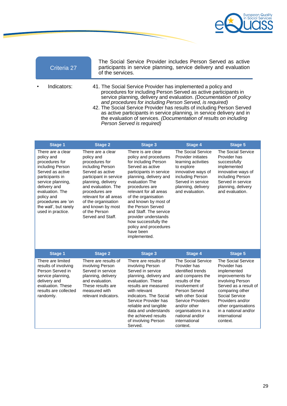

| Criteria 27 | The Social Service Provider includes Person Served as active<br>participants in service planning, service delivery and evaluation<br>of the services.                                                                                                                                                                                                                                                                                                                                                                       |
|-------------|-----------------------------------------------------------------------------------------------------------------------------------------------------------------------------------------------------------------------------------------------------------------------------------------------------------------------------------------------------------------------------------------------------------------------------------------------------------------------------------------------------------------------------|
| Indicators: | 41. The Social Service Provider has implemented a policy and<br>procedures for including Person Served as active participants in<br>service planning, delivery and evaluation. (Documentation of policy<br>and procedures for including Person Served, is required)<br>42. The Social Service Provider has results of including Person Served<br>as active participants in service planning, in service delivery and in<br>the evaluation of services. (Documentation of results on including<br>Person Served is required) |

| <b>Stage 1</b>                                                                                                                                                                                                                                         | <b>Stage 2</b>                                                                                                                                                                                                                                                                                 | <b>Stage 3</b>                                                                                                                                                                                                                                                                                                                                                                                                 | <b>Stage 4</b>                                                                                                                                                                                                                                                                 | <b>Stage 5</b>                                                                                                                                                                                                                                                 |
|--------------------------------------------------------------------------------------------------------------------------------------------------------------------------------------------------------------------------------------------------------|------------------------------------------------------------------------------------------------------------------------------------------------------------------------------------------------------------------------------------------------------------------------------------------------|----------------------------------------------------------------------------------------------------------------------------------------------------------------------------------------------------------------------------------------------------------------------------------------------------------------------------------------------------------------------------------------------------------------|--------------------------------------------------------------------------------------------------------------------------------------------------------------------------------------------------------------------------------------------------------------------------------|----------------------------------------------------------------------------------------------------------------------------------------------------------------------------------------------------------------------------------------------------------------|
| There are a clear<br>policy and<br>procedures for<br>including Person<br>Served as active<br>participants in<br>service planning,<br>delivery and<br>evaluation. The<br>policy and<br>procedures are 'on<br>the wall', but rarely<br>used in practice. | There are a clear<br>policy and<br>procedures for<br>including Person<br>Served as active<br>participant in service<br>planning, delivery<br>and evaluation. The<br>procedures are<br>relevant for all areas<br>of the organisation<br>and known by most<br>of the Person<br>Served and Staff. | There is are clear<br>policy and procedures<br>for including Person<br>Served as active<br>participants in service<br>planning, delivery and<br>evaluation The<br>procedures are<br>relevant for all areas<br>of the organisation<br>and known by most of<br>the Person Served<br>and Staff. The service<br>provider understands<br>how successfully the<br>policy and procedures<br>have been<br>implemented. | The Social Service<br>Provider initiates<br>learning activities<br>to explore<br>innovative ways of<br>including Person<br>Served in service<br>planning, delivery<br>and evaluation.                                                                                          | <b>The Social Service</b><br>Provider has<br>successfully<br>implemented<br>innovative ways of<br>including Person<br>Served in service<br>planning, delivery<br>and evaluation.                                                                               |
| <b>Stage 1</b>                                                                                                                                                                                                                                         | <b>Stage 2</b>                                                                                                                                                                                                                                                                                 | <b>Stage 3</b>                                                                                                                                                                                                                                                                                                                                                                                                 | <b>Stage 4</b>                                                                                                                                                                                                                                                                 | <b>Stage 5</b>                                                                                                                                                                                                                                                 |
| There are limited<br>results of involving<br>Person Served in<br>service planning,<br>delivery and<br>evaluation. These<br>results are collected<br>randomly.                                                                                          | There are results of<br>involving Person<br>Served in service<br>planning, delivery<br>and evaluation.<br>These results are<br>measured with<br>relevant indicators.                                                                                                                           | There are results of<br>involving Person<br>Served in service<br>planning, delivery and<br>evaluation. These<br>results are measured<br>with relevant<br>indicators. The Social<br>Service Provider has<br>reliable and tangible<br>data and understands<br>the achieved results<br>of involving Person<br>Served.                                                                                             | <b>The Social Service</b><br>Provider has<br>identified trends<br>and compares the<br>results of the<br>involvement of<br>Person Served<br>with other Social<br><b>Service Providers</b><br>and/or other<br>organisations in a<br>national and/or<br>international<br>context. | <b>The Social Service</b><br>Provider has<br>implemented<br>improvements for<br>involving Person<br>Served as a result of<br>comparing other<br>Social Service<br>Providers and/or<br>other organisations<br>in a national and/or<br>international<br>context. |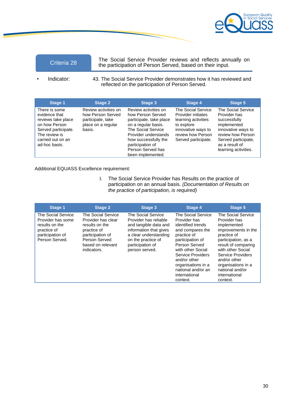

The Social Service Provider reviews and reflects annually on the participation of Person Served, based on their input.

Indicator: 43. The Social Service Provider demonstrates how it has reviewed and reflected on the participation of Person Served.

| Stage 1                                                                                                                                             | <b>Stage 2</b>                                                                                 | <b>Stage 3</b>                                                                                                                                                                                                                  | Stage 4                                                                                                                                         | Stage 5                                                                                                                                                                       |
|-----------------------------------------------------------------------------------------------------------------------------------------------------|------------------------------------------------------------------------------------------------|---------------------------------------------------------------------------------------------------------------------------------------------------------------------------------------------------------------------------------|-------------------------------------------------------------------------------------------------------------------------------------------------|-------------------------------------------------------------------------------------------------------------------------------------------------------------------------------|
| There is some<br>evidence that<br>reviews take place<br>on how Person<br>Served participate.<br>The review is<br>carried out on an<br>ad-hoc basis. | Review activities on<br>how Person Served<br>participate, take<br>place on a regular<br>basis. | Review activities on<br>how Person Served<br>participate, take place<br>on a regular basis.<br>The Social Service<br>Provider understands<br>how successfully the<br>participation of<br>Person Served has<br>been implemented. | The Social Service<br>Provider initiates<br>learning activities<br>to explore<br>innovative ways to<br>review how Person<br>Served participate. | The Social Service<br>Provider has<br>successfully<br>implemented<br>innovative ways to<br>review how Person<br>Served participate,<br>as a result of<br>learning activities. |

Additional EQUASS Excellence requirement:

I. The Social Service Provider has Results on the practice of participation on an annual basis. *(Documentation of Results on the practice of participation, is required)*

| <b>Stage 1</b>                                                                                                 | <b>Stage 2</b>                                                                                                                                     | <b>Stage 3</b>                                                                                                                                                                      | <b>Stage 4</b>                                                                                                                                                                                                                                                     | <b>Stage 5</b>                                                                                                                                                                                                                                                        |
|----------------------------------------------------------------------------------------------------------------|----------------------------------------------------------------------------------------------------------------------------------------------------|-------------------------------------------------------------------------------------------------------------------------------------------------------------------------------------|--------------------------------------------------------------------------------------------------------------------------------------------------------------------------------------------------------------------------------------------------------------------|-----------------------------------------------------------------------------------------------------------------------------------------------------------------------------------------------------------------------------------------------------------------------|
| The Social Service<br>Provider has some<br>results on the<br>practice of<br>participation of<br>Person Served. | The Social Service<br>Provider has clear<br>results on the<br>practice of<br>participation of<br>Person Served<br>based on relevant<br>indicators. | The Social Service<br>Provider has reliable<br>and tangible data and<br>information that gives<br>a clear understanding<br>on the practice of<br>participation of<br>person served. | The Social Service<br>Provider has<br>identified trends<br>and compares the<br>practice of<br>participation of<br>Person Served<br>with other Social<br>Service Providers<br>and/or other<br>organisations in a<br>national and/or an<br>international<br>context. | The Social Service<br>Provider has<br>implemented<br>improvements in the<br>practice of<br>participation, as a<br>result of comparing<br>with other Social<br>Service Providers<br>and/or other<br>organisations in a<br>national and/or<br>international<br>context. |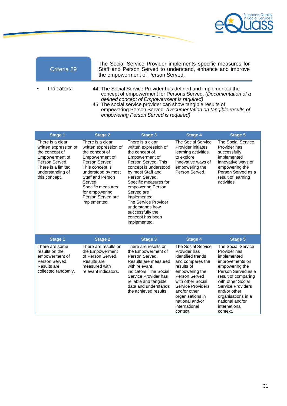

The Social Service Provider implements specific measures for Staff and Person Served to understand, enhance and improve the empowerment of Person Served.

- Indicators: 44. The Social Service Provider has defined and implemented the concept of empowerment for Persons Served. *(Documentation of a defined concept of Empowerment is required)*
	- 45. The social service provider can show tangible results of empowering Person Served. *(Documentation on tangible results of empowering Person Served is required)*

| <b>Stage 1</b>                                                                                                                                             | <b>Stage 2</b>                                                                                                                                                                                                                                      | <b>Stage 3</b>                                                                                                                                                                                                                                                                                                                                      | <b>Stage 4</b>                                                                                                                                                                                                                                                           | <b>Stage 5</b>                                                                                                                                                                                                                                                             |
|------------------------------------------------------------------------------------------------------------------------------------------------------------|-----------------------------------------------------------------------------------------------------------------------------------------------------------------------------------------------------------------------------------------------------|-----------------------------------------------------------------------------------------------------------------------------------------------------------------------------------------------------------------------------------------------------------------------------------------------------------------------------------------------------|--------------------------------------------------------------------------------------------------------------------------------------------------------------------------------------------------------------------------------------------------------------------------|----------------------------------------------------------------------------------------------------------------------------------------------------------------------------------------------------------------------------------------------------------------------------|
| There is a clear<br>written expression of<br>the concept of<br>Empowerment of<br>Person Served.<br>There is a limited<br>understanding of<br>this concept. | There is a clear<br>written expression of<br>the concept of<br>Empowerment of<br>Person Served.<br>This concept is<br>understood by most<br>Staff and Person<br>Served.<br>Specific measures<br>for empowering<br>Person Served are<br>implemented. | There is a clear<br>written expression of<br>the concept of<br>Empowerment of<br>Person Served, This<br>concept is understood<br>by most Staff and<br>Person Served.<br>Specific measures for<br>empowering Person<br>Served are<br>implemented.<br>The Service Provider<br>understands how<br>successfully the<br>concept has been<br>implemented. | The Social Service<br><b>Provider initiates</b><br>learning activities<br>to explore<br>innovative ways of<br>empowering the<br>Person Served.                                                                                                                           | <b>The Social Service</b><br>Provider has<br>successfully<br>implemented<br>innovative ways of<br>empowering the<br>Person Served as a<br>result of learning<br>activities.                                                                                                |
| <b>Stage 1</b>                                                                                                                                             | <b>Stage 2</b>                                                                                                                                                                                                                                      | <b>Stage 3</b>                                                                                                                                                                                                                                                                                                                                      | <b>Stage 4</b>                                                                                                                                                                                                                                                           | <b>Stage 5</b>                                                                                                                                                                                                                                                             |
| There are some<br>results on the<br>empowerment of<br>Person Served.<br>Results are<br>collected randomly.                                                 | There are results on<br>the Empowerment<br>of Person Served.<br>Results are<br>measured with<br>relevant indicators.                                                                                                                                | There are results on<br>the Empowerment of<br>Person Served.<br>Results are measured<br>with relevant<br>indicators. The Social<br>Service Provider has<br>reliable and tangible<br>data and understands<br>the achieved results.                                                                                                                   | <b>The Social Service</b><br>Provider has<br>identified trends<br>and compares the<br>results of<br>empowering the<br>Person Served<br>with other Social<br><b>Service Providers</b><br>and/or other<br>organisations in<br>national and/or<br>international<br>context. | <b>The Social Service</b><br>Provider has<br>implemented<br>improvements on<br>empowering the<br>Person Served as a<br>result of comparing<br>with other Social<br>Service Providers<br>and/or other<br>organisations in a<br>national and/or<br>international<br>context. |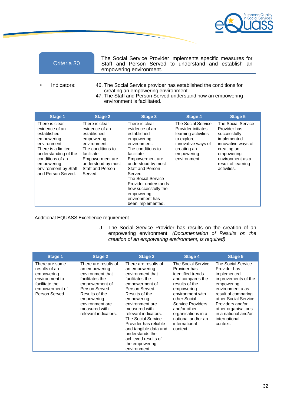

|  | Criteria 30 |
|--|-------------|
|--|-------------|

The Social Service Provider implements specific measures for Staff and Person Served to understand and establish an empowering environment.

- Indicators: 46. The Social Service provider has established the conditions for creating an empowering environment.
	- 47. The Staff and Person Served understand how an empowering environment is facilitated.

| <b>Stage 1</b>                                                                                                                                                                                              | <b>Stage 2</b>                                                                                                                                                                           | <b>Stage 3</b>                                                                                                                                                                                                                                                                                                       | <b>Stage 4</b>                                                                                                                                          | <b>Stage 5</b>                                                                                                                                                                |
|-------------------------------------------------------------------------------------------------------------------------------------------------------------------------------------------------------------|------------------------------------------------------------------------------------------------------------------------------------------------------------------------------------------|----------------------------------------------------------------------------------------------------------------------------------------------------------------------------------------------------------------------------------------------------------------------------------------------------------------------|---------------------------------------------------------------------------------------------------------------------------------------------------------|-------------------------------------------------------------------------------------------------------------------------------------------------------------------------------|
| There is clear<br>evidence of an<br>established<br>empowering<br>environment.<br>There is a limited<br>understanding of the<br>conditions of an<br>empowering<br>environment by Staff<br>and Person Served. | There is clear<br>evidence of an<br>established<br>empowering<br>environment.<br>The conditions to<br>facilitate<br>Empowerment are<br>understood by most<br>Staff and Person<br>Served. | There is clear<br>evidence of an<br>established<br>empowering<br>environment.<br>The conditions to<br>facilitate<br>Empowerment are<br>understood by most<br>Staff and Person<br>Served.<br>The Social Service<br>Provider understands<br>how successfully the<br>empowering<br>environment has<br>been implemented. | <b>The Social Service</b><br>Provider initiates<br>learning activities<br>to explore<br>innovative ways of<br>creating an<br>empowering<br>environment. | The Social Service<br>Provider has<br>successfully<br>implemented<br>innovative ways of<br>creating an<br>empowering<br>environment as a<br>result of learning<br>activities. |

Additional EQUASS Excellence requirement

J. The Social Service Provider has results on the creation of an empowering environment. *(Documentation of Results on the creation of an empowering environment, is required)*

| <b>Stage 1</b>                                                                                                        | <b>Stage 2</b>                                                                                                                                                                                               | Stage 3                                                                                                                                                                                                                                                                                                                                                          | <b>Stage 4</b>                                                                                                                                                                                                                                                | <b>Stage 5</b>                                                                                                                                                                                                                                            |
|-----------------------------------------------------------------------------------------------------------------------|--------------------------------------------------------------------------------------------------------------------------------------------------------------------------------------------------------------|------------------------------------------------------------------------------------------------------------------------------------------------------------------------------------------------------------------------------------------------------------------------------------------------------------------------------------------------------------------|---------------------------------------------------------------------------------------------------------------------------------------------------------------------------------------------------------------------------------------------------------------|-----------------------------------------------------------------------------------------------------------------------------------------------------------------------------------------------------------------------------------------------------------|
| There are some<br>results of an<br>empowering<br>environment to<br>facilitate the<br>empowerment of<br>Person Served. | There are results of<br>an empowering<br>environment that<br>facilitates the<br>empowerment of<br>Person Served.<br>Results of the<br>empowering<br>environment are<br>measured with<br>relevant indicators. | There are results of<br>an empowering<br>environment that<br>facilitates the<br>empowerment of<br>Person Served.<br>Results of the<br>empowering<br>environment are<br>measured with<br>relevant indicators.<br>The Social Service<br>Provider has reliable<br>and tangible data and<br>understands the<br>achieved results of<br>the empowering<br>environment. | The Social Service<br>Provider has<br>identified trends<br>and compares the<br>results of the<br>empowering<br>environment with<br>other Social<br>Service Providers<br>and/or other<br>organisations in a<br>national and/or an<br>international<br>context. | The Social Service<br>Provider has<br>implemented<br>improvements of the<br>empowering<br>environment a as<br>result of comparing<br>other Social Service<br>Providers and/or<br>other organisations<br>in a national and/or<br>international<br>context. |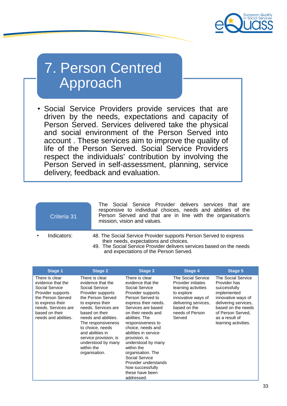

## 7. Person Centred Approach

• Social Service Providers provide services that are driven by the needs, expectations and capacity of Person Served. Services delivered take the physical and social environment of the Person Served into account . These services aim to improve the quality of life of the Person Served. Social Service Providers respect the individuals' contribution by involving the Person Served in self-assessment, planning, service delivery, feedback and evaluation.

| Criteria 31 | The Social Service Provider delivers services that are<br>responsive to individual choices, needs and abilities of the<br>Person Served and that are in line with the organisation's<br>mission, vision and values.           |
|-------------|-------------------------------------------------------------------------------------------------------------------------------------------------------------------------------------------------------------------------------|
| Indicators: | 48. The Social Service Provider supports Person Served to express<br>their needs, expectations and choices.<br>49. The Social Service Provider delivers services based on the needs<br>and expectations of the Person Served. |

| <b>Stage 1</b>                                                                                                                                                                       | <b>Stage 2</b>                                                                                                                                                                                                                                                                                                                   | Stage 3                                                                                                                                                                                                                                                                                                                                                                                                                         | Stage 4                                                                                                                                                                  | <b>Stage 5</b>                                                                                                                                                                                       |
|--------------------------------------------------------------------------------------------------------------------------------------------------------------------------------------|----------------------------------------------------------------------------------------------------------------------------------------------------------------------------------------------------------------------------------------------------------------------------------------------------------------------------------|---------------------------------------------------------------------------------------------------------------------------------------------------------------------------------------------------------------------------------------------------------------------------------------------------------------------------------------------------------------------------------------------------------------------------------|--------------------------------------------------------------------------------------------------------------------------------------------------------------------------|------------------------------------------------------------------------------------------------------------------------------------------------------------------------------------------------------|
| There is clear<br>evidence that the<br>Social Service<br>Provider supports<br>the Person Served<br>to express their<br>needs. Services are<br>based on their<br>needs and abilities. | There is clear<br>evidence that the<br>Social Service<br>Provider supports<br>the Person Served<br>to express their<br>needs. Services are<br>based on their<br>needs and abilities.<br>The responsiveness<br>to choice, needs<br>and abilities in<br>service provision, is<br>understood by many<br>within the<br>organisation. | There is clear<br>evidence that the<br>Social Service<br>Provider supports<br>Person Served to<br>express their needs.<br>Services are based<br>on their needs and<br>abilities. The<br>responsiveness to<br>choice, needs and<br>abilities in service<br>provision, is<br>understood by many<br>within the<br>organisation. The<br>Social Service<br>Provider understands<br>how successfully<br>these have been<br>addressed. | The Social Service<br>Provider initiates<br>learning activities<br>to explore<br>innovative ways of<br>delivering services,<br>based on the<br>needs of Person<br>Served | The Social Service<br>Provider has<br>successfully<br>implemented<br>innovative ways of<br>delivering services,<br>based on the needs<br>of Person Served,<br>as a result of<br>learning activities. |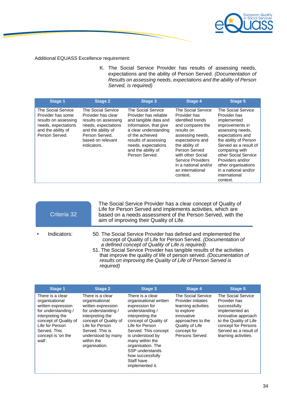

Additional EQUASS Excellence requirement:

K. The Social Service Provider has results of assessing needs, expectations and the ability of Person Served. *(Documentation of Results on assessing needs, expectations and the ability of Person Served, is required)*

| <b>Stage 1</b>                                                                                                                 | <b>Stage 2</b>                                                                                                                                                      | <b>Stage 3</b>                                                                                                                                                                                                                    | <b>Stage 4</b>                                                                                                                                                                                                                                                         | <b>Stage 5</b>                                                                                                                                                                                                                                                                                           |
|--------------------------------------------------------------------------------------------------------------------------------|---------------------------------------------------------------------------------------------------------------------------------------------------------------------|-----------------------------------------------------------------------------------------------------------------------------------------------------------------------------------------------------------------------------------|------------------------------------------------------------------------------------------------------------------------------------------------------------------------------------------------------------------------------------------------------------------------|----------------------------------------------------------------------------------------------------------------------------------------------------------------------------------------------------------------------------------------------------------------------------------------------------------|
| The Social Service<br>Provider has some<br>results on assessing<br>needs, expectations<br>and the ability of<br>Person Served. | The Social Service<br>Provider has clear<br>results on assessing<br>needs, expectations<br>and the ability of<br>Person Served.<br>based on relevant<br>indicators. | The Social Service<br>Provider has reliable<br>and tangible data and<br>information, that give<br>a clear understanding<br>of the achieved<br>results of assessing<br>needs, expectations<br>and the ability of<br>Person Served. | The Social Service<br>Provider has<br>identified trends<br>and compares the<br>results on<br>assessing needs,<br>expectations and<br>the ability of<br>Person Served<br>with other Social<br>Service Providers<br>in a national and/or<br>an international<br>context. | The Social Service<br>Provider has<br>implemented<br>improvements in<br>assessing needs,<br>expectations and<br>the ability of Person<br>Served as a result of<br>comparing with<br>other Social Service<br>Providers and/or<br>other organisations<br>in a national and/or<br>international<br>context. |

| Criteria 32 | The Social Service Provider has a clear concept of Quality of<br>Life for Person Served and implements activities, which are<br>based on a needs assessment of the Person Served, with the<br>aim of improving their Quality of Life.                                                                                                                                                                                  |
|-------------|------------------------------------------------------------------------------------------------------------------------------------------------------------------------------------------------------------------------------------------------------------------------------------------------------------------------------------------------------------------------------------------------------------------------|
| Indicators: | 50. The Social Service Provider has defined and implemented the<br>concept of Quality of Life for Person Served. (Documentation of<br>a defined concept of Quality of Life is required)<br>51. The Social Service Provider has tangible results of the activities<br>that improve the quality of life of person served. (Documentation of<br>results on improving the Quality of Life of Person Served is<br>required) |

| <b>Stage 1</b>                                                                                                                                                                                  | <b>Stage 2</b>                                                                                                                                                                                                          | <b>Stage 3</b>                                                                                                                                                                                                                                                                                              | <b>Stage 4</b>                                                                                                                                                        | Stage 5                                                                                                                                                                                       |
|-------------------------------------------------------------------------------------------------------------------------------------------------------------------------------------------------|-------------------------------------------------------------------------------------------------------------------------------------------------------------------------------------------------------------------------|-------------------------------------------------------------------------------------------------------------------------------------------------------------------------------------------------------------------------------------------------------------------------------------------------------------|-----------------------------------------------------------------------------------------------------------------------------------------------------------------------|-----------------------------------------------------------------------------------------------------------------------------------------------------------------------------------------------|
| There is a clear<br>organisational<br>written expression<br>for understanding /<br>interpreting the<br>concept of Quality of<br>Life for Person<br>Served. This<br>concept is 'on the<br>wall'. | There is a clear<br>organisational<br>written expression<br>for understanding /<br>interpreting the<br>concept of Quality of<br>Life for Person<br>Served. This is<br>understood by many<br>within the<br>organisation. | There is a clear<br>organisational written<br>expression for<br>understanding /<br>interpreting the<br>concept of Quality of<br>Life for Person<br>Served. This concept<br>is understood by<br>many within the<br>organisation. The<br>SSP understands<br>how successfully<br>Staff have<br>implemented it. | The Social Service<br>Provider initiates<br>learning activities<br>to explore<br>innovative<br>approaches to the<br>Quality of Life<br>concept for<br>Persons Served. | The Social Service<br>Provider has<br>successfully<br>implemented an<br>innovative approach<br>to the Quality of Life<br>concept for Persons<br>Served as a result of<br>learning activities. |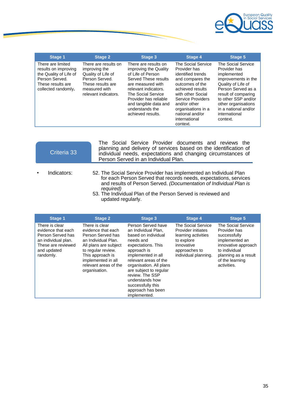

| Stage 1                                                                                                                           | <b>Stage 2</b>                                                                                                                              | Stage 3                                                                                                                                                                                                                                                 | Stage 4                                                                                                                                                                                                                                            | Stage 5                                                                                                                                                                                                                                        |
|-----------------------------------------------------------------------------------------------------------------------------------|---------------------------------------------------------------------------------------------------------------------------------------------|---------------------------------------------------------------------------------------------------------------------------------------------------------------------------------------------------------------------------------------------------------|----------------------------------------------------------------------------------------------------------------------------------------------------------------------------------------------------------------------------------------------------|------------------------------------------------------------------------------------------------------------------------------------------------------------------------------------------------------------------------------------------------|
| There are limited<br>results on improving<br>the Quality of Life of<br>Person Served.<br>These results are<br>collected randomly. | There are results on<br>improving the<br>Quality of Life of<br>Person Served.<br>These results are<br>measured with<br>relevant indicators. | There are results on<br>improving the Quality<br>of Life of Person<br>Served These results<br>are measured with<br>relevant indicators.<br>The Social Service<br>Provider has reliable<br>and tangible data and<br>understands the<br>achieved results. | The Social Service<br>Provider has<br>identified trends<br>and compares the<br>outcomes of the<br>achieved results<br>with other Social<br>Service Providers<br>and/or other<br>organisations in a<br>national and/or<br>international<br>context. | The Social Service<br>Provider has<br>implemented<br>improvements in the<br>Quality of Life of<br>Person Served as a<br>result of comparing<br>to other SSP and/or<br>other organisations<br>in a national and/or<br>international<br>context. |

| Criteria 33 | The Social Service Provider documents and reviews the<br>planning and delivery of services based on the identification of<br>individual needs, expectations and changing circumstances of<br>Person Served in an Individual Plan.                                                                                |
|-------------|------------------------------------------------------------------------------------------------------------------------------------------------------------------------------------------------------------------------------------------------------------------------------------------------------------------|
| Indicators: | 52. The Social Service Provider has implemented an Individual Plan<br>for each Person Served that records needs, expectations, services<br>and results of Person Served. (Documentation of Individual Plan is<br>required)<br>53. The Individual Plan of the Person Served is reviewed and<br>updated regularly. |

| <b>Stage 1</b>                                                                                                                     | <b>Stage 2</b>                                                                                                                                                                                                      | Stage 3                                                                                                                                                                                                                                                                                                                | <b>Stage 4</b>                                                                                                                       | <b>Stage 5</b>                                                                                                                                                         |
|------------------------------------------------------------------------------------------------------------------------------------|---------------------------------------------------------------------------------------------------------------------------------------------------------------------------------------------------------------------|------------------------------------------------------------------------------------------------------------------------------------------------------------------------------------------------------------------------------------------------------------------------------------------------------------------------|--------------------------------------------------------------------------------------------------------------------------------------|------------------------------------------------------------------------------------------------------------------------------------------------------------------------|
| There is clear<br>evidence that each<br>Person Served has<br>an individual plan.<br>These are reviewed<br>and updated<br>randomly. | There is clear<br>evidence that each<br>Person Served has<br>an Individual Plan.<br>All plans are subject<br>to regular review.<br>This approach is<br>implemented in all<br>relevant areas of the<br>organisation. | Person Served have<br>an Individual Plan.<br>based on individual<br>needs and<br>expectations. This<br>approach is<br>implemented in all<br>relevant areas of the<br>organisation. All plans<br>are subject to regular<br>review. The SSP<br>understands how<br>successfully this<br>approach has been<br>implemented. | The Social Service<br>Provider initiates<br>learning activities<br>to explore<br>innovative<br>approaches to<br>individual planning. | The Social Service<br>Provider has<br>successfully<br>implemented an<br>innovative approach<br>to individual<br>planning as a result<br>of the learning<br>activities. |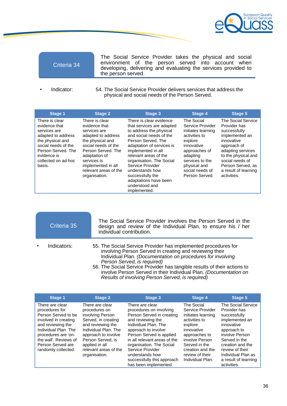

The Social Service Provider takes the physical and social environment of the person served into account when developing, delivering and evaluating the services provided to the person served.

Indicator: 54. The Social Service Provider delivers services that address the physical and social needs of the Person Served.

| <b>Stage 1</b>                                                                                                                                                                         | <b>Stage 2</b>                                                                                                                                                                                                                         | Stage 3                                                                                                                                                                                                                                                                                                                                                        | <b>Stage 4</b>                                                                                                                                                                                      | <b>Stage 5</b>                                                                                                                                                                                                                      |
|----------------------------------------------------------------------------------------------------------------------------------------------------------------------------------------|----------------------------------------------------------------------------------------------------------------------------------------------------------------------------------------------------------------------------------------|----------------------------------------------------------------------------------------------------------------------------------------------------------------------------------------------------------------------------------------------------------------------------------------------------------------------------------------------------------------|-----------------------------------------------------------------------------------------------------------------------------------------------------------------------------------------------------|-------------------------------------------------------------------------------------------------------------------------------------------------------------------------------------------------------------------------------------|
| There is clear<br>evidence that<br>services are<br>adapted to address<br>the physical and<br>social needs of the<br>Person Served, The<br>evidence is<br>collected on ad-hoc<br>basis. | There is clear<br>evidence that<br>services are<br>adapted to address<br>the physical and<br>social needs of the<br>Person Served, The<br>adaptation of<br>services is<br>implemented in all<br>relevant areas of the<br>organisation. | There is clear evidence<br>that services are adapted<br>to address the physical<br>and social needs of the<br>Person Served. The<br>adaptation of services is<br>implemented in all<br>relevant areas of the<br>organisation. The Social<br>Service Provider<br>understands how<br>successfully the<br>adaptations have been<br>understood and<br>implemented. | The Social<br>Service Provider<br>initiates learning<br>activities to<br>explore<br>innovative<br>approaches of<br>adapting<br>services to the<br>physical and<br>social needs of<br>Person Served. | <b>The Social Service</b><br>Provider has<br>successfully<br>implemented an<br>innovative<br>approach of<br>adapting services<br>to the physical and<br>social needs of<br>Person Served, as<br>a result of learning<br>activities. |

| Criteria 35 | The Social Service Provider involves the Person Served in the<br>design and review of the Individual Plan, to ensure his / her<br>individual contribution.                                                                                                                                                                                                                                                                   |
|-------------|------------------------------------------------------------------------------------------------------------------------------------------------------------------------------------------------------------------------------------------------------------------------------------------------------------------------------------------------------------------------------------------------------------------------------|
| Indicators: | 55. The Social Service Provider has implemented procedures for<br>involving Person Served in creating and reviewing their<br>Individual Plan. (Documentation on procedures for involving<br>Person Served, is required)<br>56. The Social Service Provider has tangible results of their actions to<br>involve Person Served in their Individual Plan. (Documentation on<br>Results of involving Person Served, is required) |

| Stage 1                                                                                                                                                                                                                   | <b>Stage 2</b>                                                                                                                                                                                                                   | Stage 3                                                                                                                                                                                                                                                                                                                           | Stage 4                                                                                                                                                                                                       | Stage 5                                                                                                                                                                                                                                  |
|---------------------------------------------------------------------------------------------------------------------------------------------------------------------------------------------------------------------------|----------------------------------------------------------------------------------------------------------------------------------------------------------------------------------------------------------------------------------|-----------------------------------------------------------------------------------------------------------------------------------------------------------------------------------------------------------------------------------------------------------------------------------------------------------------------------------|---------------------------------------------------------------------------------------------------------------------------------------------------------------------------------------------------------------|------------------------------------------------------------------------------------------------------------------------------------------------------------------------------------------------------------------------------------------|
| There are clear<br>procedures for<br>Person Served to be<br>involved in creating<br>and reviewing the<br>Individual Plan, The<br>procedures are 'on-<br>the wall'. Reviews of<br>Person Served are<br>randomly collected. | There are clear<br>procedures on<br>involving Person<br>Served, in creating<br>and reviewing the<br>Individual Plan, The<br>approach to involve<br>Person Served, is<br>applied in all<br>relevant areas of the<br>organisation. | There are clear<br>procedures on involving<br>Person Served in creating<br>and reviewing the<br>Individual Plan. The<br>approach to involve<br>Person Served is applied<br>in all relevant areas of the<br>organisation. The Social<br>Service Provider<br>understands how<br>successfully this approach<br>has been implemented. | The Social<br>Service Provider<br>initiates learning<br>activities to<br>explore<br>innovative<br>approaches to<br>involve Person<br>Served in the<br>creation and the<br>review of their<br>Individual Plan. | The Social Service<br>Provider has<br>successfully<br>implemented an<br>innovative<br>approach to<br>involve Person<br>Served in the<br>creation and the<br>review of their<br>Individual Plan as<br>a result of learning<br>activities. |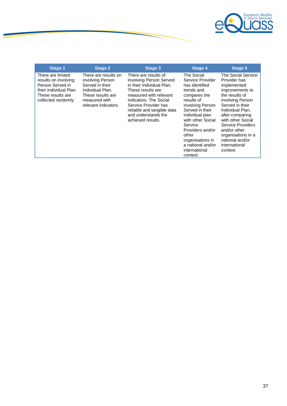

| <b>Stage 1</b>                                                                                                                      | <b>Stage 2</b>                                                                                                                                | Stage 3                                                                                                                                                                                                                                                 | Stage 4                                                                                                                                                                                                                                                                                   | Stage 5                                                                                                                                                                                                                                                                                              |
|-------------------------------------------------------------------------------------------------------------------------------------|-----------------------------------------------------------------------------------------------------------------------------------------------|---------------------------------------------------------------------------------------------------------------------------------------------------------------------------------------------------------------------------------------------------------|-------------------------------------------------------------------------------------------------------------------------------------------------------------------------------------------------------------------------------------------------------------------------------------------|------------------------------------------------------------------------------------------------------------------------------------------------------------------------------------------------------------------------------------------------------------------------------------------------------|
| There are limited<br>results on involving<br>Person Served in<br>their Individual Plan.<br>These results are<br>collected randomly. | There are results on<br>involving Person<br>Served in their<br>Individual Plan.<br>These results are<br>measured with<br>relevant indicators. | There are results of<br>involving Person Served<br>in their Individual Plan.<br>These results are<br>measured with relevant<br>indicators. The Social<br>Service Provider has<br>reliable and tangible data<br>and understands the<br>achieved results. | The Social<br>Service Provider<br>has identified<br>trends and<br>compares the<br>results of<br>involving Person<br>Served in their<br>individual plan<br>with other Social<br>Service<br>Providers and/or<br>other<br>organisations in<br>a national and/or<br>international<br>context. | The Social Service<br>Provider has<br>implemented<br>improvements to<br>the results of<br>involving Person<br>Served in their<br>Individual Plan.<br>after comparing<br>with other Social<br>Service Providers<br>and/or other<br>organisations in a<br>national and/or<br>international<br>context. |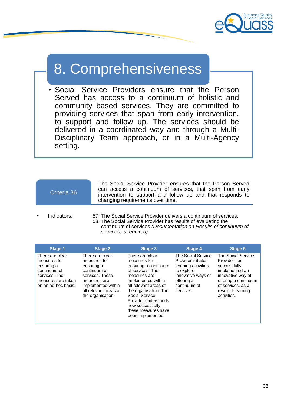

## 8. Comprehensiveness

Social Service Providers ensure that the Person Served has access to a continuum of holistic and community based services. They are committed to providing services that span from early intervention, to support and follow up. The services should be delivered in a coordinated way and through a Multi-Disciplinary Team approach, or in a Multi-Agency setting.

| Criteria 36 |  |
|-------------|--|
|             |  |
|             |  |

all relevant areas of the organisation.

The Social Service Provider ensures that the Person Served can access a continuum of services, that span from early intervention to support and follow up and that responds to changing requirements over time.

services.

• Indicators: 57. The Social Service Provider delivers a continuum of services. 58. The Social Service Provider has results of evaluating the continuum of services*.(Documentation on Results of continuum of* 

| services, is required)                                                                                                      |                                                                                                                        |                                                                                                                                            |                                                                                                                                   |                                                                                                                                        |  |
|-----------------------------------------------------------------------------------------------------------------------------|------------------------------------------------------------------------------------------------------------------------|--------------------------------------------------------------------------------------------------------------------------------------------|-----------------------------------------------------------------------------------------------------------------------------------|----------------------------------------------------------------------------------------------------------------------------------------|--|
| <b>Stage 1</b>                                                                                                              | <b>Stage 2</b>                                                                                                         | Stage 3                                                                                                                                    | Stage 4                                                                                                                           | Stage 5                                                                                                                                |  |
| There are clear<br>measures for<br>ensuring a<br>continuum of<br>services. The<br>measures are taken<br>on an ad-hoc basis. | There are clear<br>measures for<br>ensuring a<br>continuum of<br>services. These<br>measures are<br>implemented within | There are clear<br>measures for<br>ensuring a continuum<br>of services. The<br>measures are<br>implemented within<br>all relevant areas of | The Social Service<br>Provider initiates<br>learning activities<br>to explore<br>innovative ways of<br>offering a<br>continuum of | The Social Service<br>Provider has<br>successfully<br>implemented an<br>innovative way of<br>offering a continuum<br>of services, as a |  |

the organisation. The Social Service Provider understands how successfully these measures have been implemented.

of services, as a result of learning activities.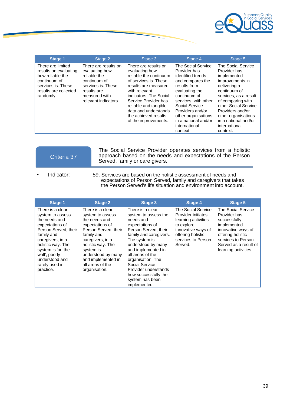

| <b>Stage 1</b>                                                                                                                             | Stage 2                                                                                                                                              | Stage 3                                                                                                                                                                                                                                                                               | Stage 4                                                                                                                                                                                                                                                                 | Stage 5                                                                                                                                                                                                                                                                    |
|--------------------------------------------------------------------------------------------------------------------------------------------|------------------------------------------------------------------------------------------------------------------------------------------------------|---------------------------------------------------------------------------------------------------------------------------------------------------------------------------------------------------------------------------------------------------------------------------------------|-------------------------------------------------------------------------------------------------------------------------------------------------------------------------------------------------------------------------------------------------------------------------|----------------------------------------------------------------------------------------------------------------------------------------------------------------------------------------------------------------------------------------------------------------------------|
| There are limited<br>results on evaluating<br>how reliable the<br>continuum of<br>services is. These<br>results are collected<br>randomly. | There are results on<br>evaluating how<br>reliable the<br>continuum of<br>services is. These<br>results are<br>measured with<br>relevant indicators. | There are results on<br>evaluating how<br>reliable the continuum<br>of services is. These<br>results are measured<br>with relevant<br>indicators. The Social<br>Service Provider has<br>reliable and tangible<br>data and understands<br>the achieved results<br>of the improvements. | The Social Service<br>Provider has<br>identified trends<br>and compares the<br>results from<br>evaluating the<br>continuum of<br>services, with other<br>Social Service<br>Providers and/or<br>other organisations<br>in a national and/or<br>international<br>context. | The Social Service<br>Provider has<br>implemented<br>improvements in<br>delivering a<br>continuum of<br>services, as a result<br>of comparing with<br>other Social Service<br>Providers and/or<br>other organisations<br>in a national and/or<br>international<br>context. |

| Criteria 37 |  |
|-------------|--|
|             |  |
|             |  |

The Social Service Provider operates services from a holistic approach based on the needs and expectations of the Person Served, family or care givers.

Indicator: 59. Services are based on the holistic assessment of needs and expectations of Person Served, family and caregivers that takes the Person Served's life situation and environment into account.

| Stage 1                                                                                                                                                                                                                                        | <b>Stage 2</b>                                                                                                                                                                                                                                        | Stage 3                                                                                                                                                                                                                                                                                                                               | Stage 4                                                                                                                                                   | <b>Stage 5</b>                                                                                                                                                                             |
|------------------------------------------------------------------------------------------------------------------------------------------------------------------------------------------------------------------------------------------------|-------------------------------------------------------------------------------------------------------------------------------------------------------------------------------------------------------------------------------------------------------|---------------------------------------------------------------------------------------------------------------------------------------------------------------------------------------------------------------------------------------------------------------------------------------------------------------------------------------|-----------------------------------------------------------------------------------------------------------------------------------------------------------|--------------------------------------------------------------------------------------------------------------------------------------------------------------------------------------------|
| There is a clear<br>system to assess<br>the needs and<br>expectations of<br>Person Served, their<br>family and<br>caregivers, in a<br>holistic way. The<br>system is 'on the<br>wall', poorly<br>understood and<br>rarely used in<br>practice. | There is a clear<br>system to assess<br>the needs and<br>expectations of<br>Person Served, their<br>family and<br>caregivers, in a<br>holistic way. The<br>system is<br>understood by many<br>and implemented in<br>all areas of the<br>organisation. | There is a clear<br>system to assess the<br>needs and<br>expectations of<br>Person Served, their<br>family and caregivers.<br>The system is<br>understood by many<br>and implemented in<br>all areas of the<br>organisation. The<br>Social Service<br>Provider understands<br>how successfully the<br>system has been<br>implemented. | The Social Service<br>Provider initiates<br>learning activities<br>to explore<br>innovative ways of<br>offering holistic<br>services to Person<br>Served. | <b>The Social Service</b><br>Provider has<br>successfully<br>implemented<br>innovative ways of<br>offering holistic<br>services to Person<br>Served as a result of<br>learning activities. |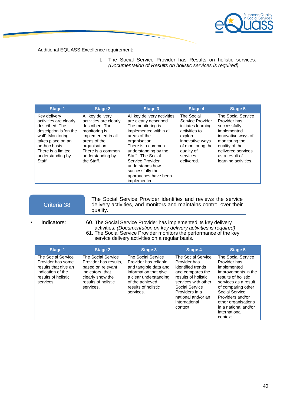

Additional EQUASS Excellence requirement:

L. The Social Service Provider has Results on holistic services. *(Documentation of Results on holistic services is required)*

| <b>Stage 1</b>                                                                                                                                                                                    | <b>Stage 2</b>                                                                                                                                                                              | <b>Stage 3</b>                                                                                                                                                                                                                                                                                             | <b>Stage 4</b>                                                                                                                                                   | <b>Stage 5</b>                                                                                                                                                                              |
|---------------------------------------------------------------------------------------------------------------------------------------------------------------------------------------------------|---------------------------------------------------------------------------------------------------------------------------------------------------------------------------------------------|------------------------------------------------------------------------------------------------------------------------------------------------------------------------------------------------------------------------------------------------------------------------------------------------------------|------------------------------------------------------------------------------------------------------------------------------------------------------------------|---------------------------------------------------------------------------------------------------------------------------------------------------------------------------------------------|
| Key delivery<br>activities are clearly<br>described. The<br>description is 'on the<br>wall'. Monitoring<br>takes place on an<br>ad-hoc basis.<br>There is a limited<br>understanding by<br>Staff. | All key delivery<br>activities are clearly<br>described. The<br>monitoring is<br>implemented in all<br>areas of the<br>organisation.<br>There is a common<br>understanding by<br>the Staff. | All key delivery activities<br>are clearly described.<br>The monitoring is<br>implemented within all<br>areas of the<br>organisation.<br>There is a common<br>understanding by the<br>Staff. The Social<br>Service Provider<br>understands how<br>successfully the<br>approaches have been<br>implemented. | The Social<br>Service Provider<br>initiates learning<br>activities to<br>explore<br>innovative ways<br>of monitoring the<br>quality of<br>services<br>delivered. | The Social Service<br>Provider has<br>successfully<br>implemented<br>innovative ways of<br>monitoring the<br>quality of the<br>delivered services<br>as a result of<br>learning activities. |

| Criteria 38 | The Social Service Provider identifies and reviews the service<br>delivery activities, and monitors and maintains control over their<br>quality. |
|-------------|--------------------------------------------------------------------------------------------------------------------------------------------------|
|             |                                                                                                                                                  |

Indicators: 60. The Social Service Provider has implemented its key delivery activities. *(Documentation on key delivery activities is required)* 61. The Social Service Provider monitors the performance of the key service delivery activities on a regular basis.

| <b>Stage 1</b>                                                                                                           | <b>Stage 2</b>                                                                                                                               | Stage 3                                                                                                                                                                       | Stage 4                                                                                                                                                                                                          | <b>Stage 5</b>                                                                                                                                                                                                                                                  |
|--------------------------------------------------------------------------------------------------------------------------|----------------------------------------------------------------------------------------------------------------------------------------------|-------------------------------------------------------------------------------------------------------------------------------------------------------------------------------|------------------------------------------------------------------------------------------------------------------------------------------------------------------------------------------------------------------|-----------------------------------------------------------------------------------------------------------------------------------------------------------------------------------------------------------------------------------------------------------------|
| The Social Service<br>Provider has some<br>results that give an<br>indication of the<br>results of holistic<br>services. | The Social Service<br>Provider has results,<br>based on relevant<br>indicators, that<br>clearly show the<br>results of holistic<br>services. | The Social Service<br>Provider has reliable<br>and tangible data and<br>information that give<br>a clear understanding<br>of the achieved<br>results of holistic<br>services. | The Social Service<br>Provider has<br>identified trends<br>and compares the<br>results of holistic<br>services with other<br>Social Service<br>Providers in a<br>national and/or an<br>international<br>context. | The Social Service<br>Provider has<br>implemented<br>improvements in the<br>results of holistic<br>services as a result<br>of comparing other<br>Social Service<br>Providers and/or<br>other organisations<br>in a national and/or<br>international<br>context. |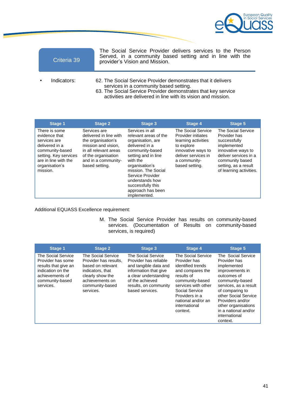

| Criteria 39 | The Social Service Provider delivers services to the Person<br>Served, in a community based setting and in line with the<br>provider's Vision and Mission.                                                                                |
|-------------|-------------------------------------------------------------------------------------------------------------------------------------------------------------------------------------------------------------------------------------------|
| Indicators: | 62. The Social Service Provider demonstrates that it delivers<br>services in a community based setting.<br>63. The Social Service Provider demonstrates that key service<br>activities are delivered in line with its vision and mission. |

| <b>Stage 1</b>                                                                                                                                                     | <b>Stage 2</b>                                                                                                                                                               | Stage 3                                                                                                                                                                                                                                                                         | <b>Stage 4</b>                                                                                                                                                      | <b>Stage 5</b>                                                                                                                                                                         |
|--------------------------------------------------------------------------------------------------------------------------------------------------------------------|------------------------------------------------------------------------------------------------------------------------------------------------------------------------------|---------------------------------------------------------------------------------------------------------------------------------------------------------------------------------------------------------------------------------------------------------------------------------|---------------------------------------------------------------------------------------------------------------------------------------------------------------------|----------------------------------------------------------------------------------------------------------------------------------------------------------------------------------------|
| There is some<br>evidence that<br>services are<br>delivered in a<br>community-based<br>setting. Key services<br>are in line with the<br>organisation's<br>mission. | Services are<br>delivered in line with<br>the organisation's<br>mission and vision.<br>in all relevant areas<br>of the organisation<br>and in a community-<br>based setting. | Services in all<br>relevant areas of the<br>organisation, are<br>delivered in a<br>community-based<br>setting and in line<br>with the<br>organisation's<br>mission. The Social<br>Service Provider<br>understands how<br>successfully this<br>approach has been<br>implemented. | <b>The Social Service</b><br>Provider initiates<br>learning activities<br>to explore<br>innovative ways to<br>deliver services in<br>a community-<br>based setting. | The Social Service<br>Provider has<br>successfully<br>implemented<br>innovative ways to<br>deliver services in a<br>community based<br>setting, as a result<br>of learning activities. |

Additional EQUASS Excellence requirement:

M. The Social Service Provider has results on community-based services. (Documentation of Results on community-based services, is required)

| <b>Stage 1</b>                                                                                                                          | <b>Stage 2</b>                                                                                                                                              | <b>Stage 3</b>                                                                                                                                                                        | <b>Stage 4</b>                                                                                                                                                                                                             | <b>Stage 5</b>                                                                                                                                                                                                                                                             |
|-----------------------------------------------------------------------------------------------------------------------------------------|-------------------------------------------------------------------------------------------------------------------------------------------------------------|---------------------------------------------------------------------------------------------------------------------------------------------------------------------------------------|----------------------------------------------------------------------------------------------------------------------------------------------------------------------------------------------------------------------------|----------------------------------------------------------------------------------------------------------------------------------------------------------------------------------------------------------------------------------------------------------------------------|
| The Social Service<br>Provider has some<br>results that give an<br>indication on the<br>achievements of<br>community-based<br>services. | The Social Service<br>Provider has results.<br>based on relevant<br>indicators, that<br>clearly show the<br>achievements on<br>community-based<br>services. | The Social Service<br>Provider has reliable<br>and tangible data and<br>information that give<br>a clear understanding<br>of the achieved<br>results, on community<br>based services. | The Social Service<br>Provider has<br>identified trends<br>and compares the<br>results of<br>community-based<br>services with other<br>Social Service<br>Providers in a<br>national and/or an<br>international<br>context. | The Social Service<br>Provider has<br>implemented<br>improvements in<br>outcomes of<br>community-based<br>services, as a result<br>of comparing to<br>other Social Service<br>Providers and/or<br>other organisations<br>in a national and/or<br>international<br>context. |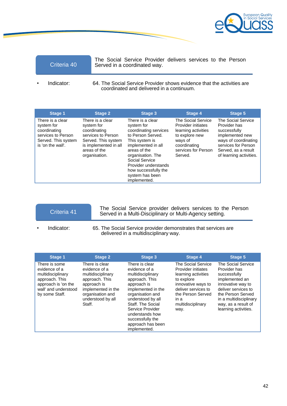

The Social Service Provider delivers services to the Person Criteria 40 Served in a coordinated way.

Indicator: 64. The Social Service Provider shows evidence that the activities are coordinated and delivered in a continuum.

| <b>Stage 1</b>                                                                                                   | <b>Stage 2</b>                                                                                                                                        | <b>Stage 3</b>                                                                                                                                                                                                                                                 | Stage 4                                                                                                                                        | <b>Stage 5</b>                                                                                                                                                                |
|------------------------------------------------------------------------------------------------------------------|-------------------------------------------------------------------------------------------------------------------------------------------------------|----------------------------------------------------------------------------------------------------------------------------------------------------------------------------------------------------------------------------------------------------------------|------------------------------------------------------------------------------------------------------------------------------------------------|-------------------------------------------------------------------------------------------------------------------------------------------------------------------------------|
| There is a clear<br>system for<br>coordinating<br>services to Person<br>Served. This system<br>is 'on the wall'. | There is a clear<br>system for<br>coordinating<br>services to Person<br>Served. This system<br>is implemented in all<br>areas of the<br>organisation. | There is a clear<br>system for<br>coordinating services<br>to Person Served.<br>This system is<br>implemented in all<br>areas of the<br>organisation. The<br>Social Service<br>Provider understands<br>how successfully the<br>system has been<br>implemented. | The Social Service<br>Provider initiates<br>learning activities<br>to explore new<br>ways of<br>coordinating<br>services for Person<br>Served. | <b>The Social Service</b><br>Provider has<br>successfully<br>implemented new<br>ways of coordinating<br>services for Person<br>Served, as a result<br>of learning activities. |

- The Social Service provider delivers services to the Person<br>
Served in a Multi-Disciplinary or Multi-Agency setting.
- 

• Indicator: 65. The Social Service provider demonstrates that services are delivered in a multidisciplinary way.

| <b>Stage 1</b>                                                                                                                         | <b>Stage 2</b>                                                                                                                                                 | <b>Stage 3</b>                                                                                                                                                                                                                                                            | <b>Stage 4</b>                                                                                                                                                                       | <b>Stage 5</b>                                                                                                                                                                                                 |
|----------------------------------------------------------------------------------------------------------------------------------------|----------------------------------------------------------------------------------------------------------------------------------------------------------------|---------------------------------------------------------------------------------------------------------------------------------------------------------------------------------------------------------------------------------------------------------------------------|--------------------------------------------------------------------------------------------------------------------------------------------------------------------------------------|----------------------------------------------------------------------------------------------------------------------------------------------------------------------------------------------------------------|
| There is some<br>evidence of a<br>multidisciplinary<br>approach. This<br>approach is 'on the<br>wall' and understood<br>by some Staff. | There is clear<br>evidence of a<br>multidisciplinary<br>approach. This<br>approach is<br>implemented in the<br>organisation and<br>understood by all<br>Staff. | There is clear<br>evidence of a<br>multidisciplinary<br>approach. This<br>approach is<br>implemented in the<br>organisation and<br>understood by all<br>Staff. The Social<br>Service Provider<br>understands how<br>successfully the<br>approach has been<br>implemented. | The Social Service<br>Provider initiates<br>learning activities<br>to explore<br>innovative ways to<br>deliver services to<br>the Person Served<br>in a<br>multidisciplinary<br>way. | The Social Service<br>Provider has<br>successfully<br>implemented an<br>innovative way to<br>deliver services to<br>the Person Served<br>in a multidisciplinary<br>way, as a result of<br>learning activities. |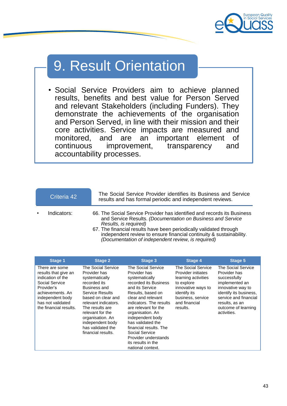

## 9. Result Orientation

• Social Service Providers aim to achieve planned results, benefits and best value for Person Served and relevant Stakeholders (including Funders). They demonstrate the achievements of the organisation and Person Served, in line with their mission and their core activities. Service impacts are measured and monitored, and are an important element of continuous improvement, transparency and accountability processes.

| Criteria 42 |             | The Social Service Provider identifies its Business and Service<br>results and has formal periodic and independent reviews.                                                                                                                                                                                                                                        |
|-------------|-------------|--------------------------------------------------------------------------------------------------------------------------------------------------------------------------------------------------------------------------------------------------------------------------------------------------------------------------------------------------------------------|
|             | Indicators: | 66. The Social Service Provider has identified and records its Business<br>and Service Results. (Documentation on Business and Service<br>Results, is required)<br>67. The financial results have been periodically validated through<br>independent review to ensure financial continuity & sustainability.<br>(Documentation of independent review, is required) |

| <b>Stage 1</b>                                                                                                                                                                     | <b>Stage 2</b>                                                                                                                                                                                                                                                                  | <b>Stage 3</b>                                                                                                                                                                                                                                                                                                                                                             | Stage 4                                                                                                                                                               | <b>Stage 5</b>                                                                                                                                                                                       |
|------------------------------------------------------------------------------------------------------------------------------------------------------------------------------------|---------------------------------------------------------------------------------------------------------------------------------------------------------------------------------------------------------------------------------------------------------------------------------|----------------------------------------------------------------------------------------------------------------------------------------------------------------------------------------------------------------------------------------------------------------------------------------------------------------------------------------------------------------------------|-----------------------------------------------------------------------------------------------------------------------------------------------------------------------|------------------------------------------------------------------------------------------------------------------------------------------------------------------------------------------------------|
| There are some<br>results that give an<br>indication of the<br>Social Service<br>Provider's<br>achievements. An<br>independent body<br>has not validated<br>the financial results. | The Social Service<br>Provider has<br>systematically<br>recorded its<br>Business and<br>Service Results<br>based on clear and<br>relevant indicators.<br>The results are<br>relevant for the<br>organisation. An<br>independent body<br>has validated the<br>financial results. | The Social Service<br>Provider has<br>systematically<br>recorded its Business<br>and its Service<br>Results, based on<br>clear and relevant<br>indicators. The results<br>are relevant for the<br>organisation. An<br>independent body<br>has validated the<br>financial results. The<br>Social Service<br>Provider understands<br>its results in the<br>national context. | The Social Service<br>Provider initiates<br>learning activities<br>to explore<br>innovative ways to<br>identify its<br>business, service<br>and financial<br>results. | The Social Service<br>Provider has<br>successfully<br>implemented an<br>innovative way to<br>identify its business,<br>service and financial<br>results, as an<br>outcome of learning<br>activities. |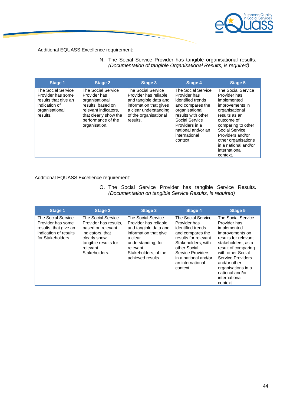

### Additional EQUASS Excellence requirement:

N. The Social Service Provider has tangible organisational results. *(Documentation of tangible Organisational Results, is required)*

| The Social Service<br>The Social Service<br>The Social Service<br>The Social Service<br>The Social Service<br>Provider has some<br>Provider has<br>Provider has reliable<br>Provider has<br>Provider has<br>identified trends<br>results that give an<br>and tangible data and<br>organisational<br>implemented<br>results, based on<br>information that gives<br>indication of<br>improvements in<br>and compares the<br>a clear understanding<br>organisational<br>relevant indicators,<br>organisational<br>organisational<br>results with other<br>of the organisational<br>results as an<br>that clearly show the<br>results.<br>performance of the<br>results.<br>Social Service<br>outcome of<br>Providers in a<br>organisation.<br>comparing to other<br>Social Service<br>national and/or an<br>Providers and/or<br>international<br>other organisations<br>context.<br>in a national and/or<br>international<br>context. |
|------------------------------------------------------------------------------------------------------------------------------------------------------------------------------------------------------------------------------------------------------------------------------------------------------------------------------------------------------------------------------------------------------------------------------------------------------------------------------------------------------------------------------------------------------------------------------------------------------------------------------------------------------------------------------------------------------------------------------------------------------------------------------------------------------------------------------------------------------------------------------------------------------------------------------------|
|                                                                                                                                                                                                                                                                                                                                                                                                                                                                                                                                                                                                                                                                                                                                                                                                                                                                                                                                    |

Additional EQUASS Excellence requirement:

O. The Social Service Provider has tangible Service Results. *(Documentation on tangible Service Results, is required)*

| <b>Stage 1</b>                                                                                                 | <b>Stage 2</b>                                                                                                                                            | Stage 3                                                                                                                                                                                 | <b>Stage 4</b>                                                                                                                                                                                                         | <b>Stage 5</b>                                                                                                                                                                                                                                                            |
|----------------------------------------------------------------------------------------------------------------|-----------------------------------------------------------------------------------------------------------------------------------------------------------|-----------------------------------------------------------------------------------------------------------------------------------------------------------------------------------------|------------------------------------------------------------------------------------------------------------------------------------------------------------------------------------------------------------------------|---------------------------------------------------------------------------------------------------------------------------------------------------------------------------------------------------------------------------------------------------------------------------|
| The Social Service<br>Provider has some<br>results, that give an<br>indication of results<br>for Stakeholders. | The Social Service<br>Provider has results,<br>based on relevant<br>indicators, that<br>clearly show<br>tangible results for<br>relevant<br>Stakeholders. | The Social Service<br>Provider has reliable<br>and tangible data and<br>information that give<br>a clear<br>understanding, for<br>relevant<br>Stakeholders, of the<br>achieved results. | The Social Service<br>Provider has<br>identified trends<br>and compares the<br>results for relevant<br>Stakeholders, with<br>other Social<br>Service Providers<br>in a national and/or<br>an international<br>context. | The Social Service<br>Provider has<br>implemented<br>improvements on<br>results for relevant<br>stakeholders, as a<br>result of comparing<br>with other Social<br>Service Providers<br>and/or other<br>organisations in a<br>national and/or<br>international<br>context. |
|                                                                                                                |                                                                                                                                                           |                                                                                                                                                                                         |                                                                                                                                                                                                                        |                                                                                                                                                                                                                                                                           |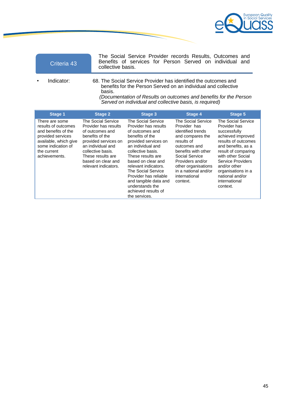

The Social Service Provider records Results, Outcomes and Benefits of services for Person Served on individual and collective basis.

• Indicator: 68. The Social Service Provider has identified the outcomes and benefits for the Person Served on an individual and collective basis.

*(Documentation of Results on outcomes and benefits for the Person Served on individual and collective basis, is required)*

| Stage 1                                                                                                                                                          | <b>Stage 2</b>                                                                                                                                                                                                               | Stage 3                                                                                                                                                                                                                                                                                                                                                  | Stage 4                                                                                                                                                                                                                                                   | Stage 5                                                                                                                                                                                                                                                                     |
|------------------------------------------------------------------------------------------------------------------------------------------------------------------|------------------------------------------------------------------------------------------------------------------------------------------------------------------------------------------------------------------------------|----------------------------------------------------------------------------------------------------------------------------------------------------------------------------------------------------------------------------------------------------------------------------------------------------------------------------------------------------------|-----------------------------------------------------------------------------------------------------------------------------------------------------------------------------------------------------------------------------------------------------------|-----------------------------------------------------------------------------------------------------------------------------------------------------------------------------------------------------------------------------------------------------------------------------|
| There are some<br>results of outcomes<br>and benefits of the<br>provided services<br>available, which give<br>some indication of<br>the current<br>achievements. | <b>The Social Service</b><br>Provider has results<br>of outcomes and<br>benefits of the<br>provided services on<br>an individual and<br>collective basis.<br>These results are<br>based on clear and<br>relevant indicators. | The Social Service<br>Provider has results<br>of outcomes and<br>benefits of the<br>provided services on<br>an individual and<br>collective basis.<br>These results are<br>based on clear and<br>relevant indicators.<br>The Social Service<br>Provider has reliable<br>and tangible data and<br>understands the<br>achieved results of<br>the services. | <b>The Social Service</b><br>Provider has<br>identified trends<br>and compares the<br>results of<br>outcomes and<br>benefits with other<br>Social Service<br>Providers and/or<br>other organisations<br>in a national and/or<br>international<br>context. | The Social Service<br>Provider has<br>successfully<br>achieved improved<br>results of outcomes<br>and benefits, as a<br>result of comparing<br>with other Social<br>Service Providers<br>and/or other<br>organisations in a<br>national and/or<br>international<br>context. |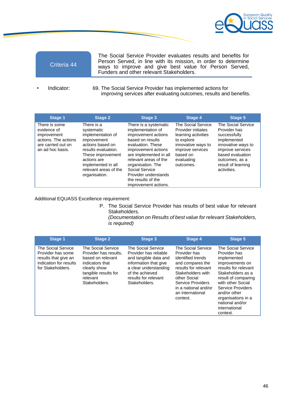

The Social Service Provider evaluates results and benefits for Person Served, in line with its mission, in order to determine ways to improve and give best value for Person Served, Funders and other relevant Stakeholders.

• Indicator: 69. The Social Service Provider has implemented actions for improving services after evaluating outcomes, results and benefits.

| <b>Stage 1</b>                                                                                                | <b>Stage 2</b>                                                                                                                                                                                              | <b>Stage 3</b>                                                                                                                                                                                                                                                                                    | Stage 4                                                                                                                                                        | <b>Stage 5</b>                                                                                                                                                                         |
|---------------------------------------------------------------------------------------------------------------|-------------------------------------------------------------------------------------------------------------------------------------------------------------------------------------------------------------|---------------------------------------------------------------------------------------------------------------------------------------------------------------------------------------------------------------------------------------------------------------------------------------------------|----------------------------------------------------------------------------------------------------------------------------------------------------------------|----------------------------------------------------------------------------------------------------------------------------------------------------------------------------------------|
| There is some<br>evidence of<br>improvement<br>actions. The actions<br>are carried out on<br>an ad hoc basis. | There is a<br>systematic<br>implementation of<br>improvement<br>actions based on<br>results evaluation.<br>These improvement<br>actions are<br>implemented in all<br>relevant areas of the<br>organisation. | There is a systematic<br>implementation of<br>improvement actions<br>based on results<br>evaluation. These<br>improvement actions<br>are implemented in all<br>relevant areas of the<br>organisation. The<br>Social Service<br>Provider understands<br>the results of the<br>improvement actions. | The Social Service<br>Provider initiates<br>learning activities<br>to explore<br>innovative ways to<br>improve services<br>based on<br>evaluating<br>outcomes. | The Social Service<br>Provider has<br>successfully<br>implemented<br>innovative ways to<br>improve services<br>based evaluation<br>outcomes, as a<br>result of learning<br>activities. |

Additional EQUASS Excellence requirement:

P. The Social Service Provider has results of best value for relevant Stakeholders. *(Documentation on Results of best value for relevant Stakeholders,*

| is required) |  |
|--------------|--|
|              |  |
|              |  |

| <b>Stage 1</b>                                                                                                 | <b>Stage 2</b>                                                                                                                                           | <b>Stage 3</b>                                                                                                                                                                     | <b>Stage 4</b>                                                                                                                                                                                                        | <b>Stage 5</b>                                                                                                                                                                                                                                                           |
|----------------------------------------------------------------------------------------------------------------|----------------------------------------------------------------------------------------------------------------------------------------------------------|------------------------------------------------------------------------------------------------------------------------------------------------------------------------------------|-----------------------------------------------------------------------------------------------------------------------------------------------------------------------------------------------------------------------|--------------------------------------------------------------------------------------------------------------------------------------------------------------------------------------------------------------------------------------------------------------------------|
| The Social Service<br>Provider has some<br>results that give an<br>indication for results<br>for Stakeholders. | The Social Service<br>Provider has results.<br>based on relevant<br>indicators that<br>clearly show<br>tangible results for<br>relevant<br>Stakeholders. | The Social Service<br>Provider has reliable<br>and tangible data and<br>information that give<br>a clear understanding<br>of the achieved<br>results for relevant<br>Stakeholders. | The Social Service<br>Provider has<br>identified trends<br>and compares the<br>results for relevant<br>Stakeholders with<br>other Social<br>Service Providers<br>in a national and/or<br>an international<br>context. | The Social Service<br>Provider has<br>implemented<br>improvements on<br>results for relevant<br>Stakeholders as a<br>result of comparing<br>with other Social<br>Service Providers<br>and/or other<br>organisations in a<br>national and/or<br>international<br>context. |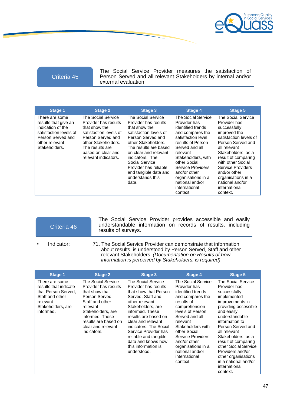

The Social Service Provider measures the satisfaction of Person Served and all relevant Stakeholders by internal and/or external evaluation.

| <b>Stage 1</b>                                                                                                                                | <b>Stage 2</b>                                                                                                                                                                                     | <b>Stage 3</b>                                                                                                                                                                                                                                                                                          | <b>Stage 4</b>                                                                                                                                                                                                                                                                                        | Stage 5                                                                                                                                                                                                                                                                                                        |
|-----------------------------------------------------------------------------------------------------------------------------------------------|----------------------------------------------------------------------------------------------------------------------------------------------------------------------------------------------------|---------------------------------------------------------------------------------------------------------------------------------------------------------------------------------------------------------------------------------------------------------------------------------------------------------|-------------------------------------------------------------------------------------------------------------------------------------------------------------------------------------------------------------------------------------------------------------------------------------------------------|----------------------------------------------------------------------------------------------------------------------------------------------------------------------------------------------------------------------------------------------------------------------------------------------------------------|
| There are some<br>results that give an<br>indication of the<br>satisfaction levels of<br>Person Served and<br>other relevant<br>Stakeholders. | The Social Service<br>Provider has results<br>that show the<br>satisfaction levels of<br>Person Served and<br>other Stakeholders.<br>The results are<br>based on clear and<br>relevant indicators. | The Social Service<br>Provider has results<br>that show the<br>satisfaction levels of<br>Person Served and<br>other Stakeholders.<br>The results are based<br>on clear and relevant<br>indicators. The<br>Social Service<br>Provider has reliable<br>and tangible data and<br>understands this<br>data. | The Social Service<br>Provider has<br>identified trends<br>and compares the<br>satisfaction level<br>results of Person<br>Served and all<br>relevant<br>Stakeholders, with<br>other Social<br>Service Providers<br>and/or other<br>organisations in a<br>national and/or<br>international<br>context. | The Social Service<br>Provider has<br>successfully<br>improved the<br>satisfaction levels of<br>Person Served and<br>all relevant<br>Stakeholders, as a<br>result of comparing<br>with other Social<br>Service Providers<br>and/or other<br>organisations in a<br>national and/or<br>international<br>context. |

## Criteria 46

The Social Service Provider provides accessible and easily understandable information on records of results, including results of surveys.

- 
- Indicator: 71. The Social Service Provider can demonstrate that information about results, is understood by Person Served, Staff and other relevant Stakeholders. *(Documentation on Results of how information is perceived by Stakeholders, is required)*

| Stage 1                                                                                                                         | <b>Stage 2</b>                                                                                                                                                                                                     | Stage 3                                                                                                                                                                                                                                                                                                                                 | Stage 4                                                                                                                                                                                                                                                                                                      | Stage 5                                                                                                                                                                                                                                                                                                                                                                  |
|---------------------------------------------------------------------------------------------------------------------------------|--------------------------------------------------------------------------------------------------------------------------------------------------------------------------------------------------------------------|-----------------------------------------------------------------------------------------------------------------------------------------------------------------------------------------------------------------------------------------------------------------------------------------------------------------------------------------|--------------------------------------------------------------------------------------------------------------------------------------------------------------------------------------------------------------------------------------------------------------------------------------------------------------|--------------------------------------------------------------------------------------------------------------------------------------------------------------------------------------------------------------------------------------------------------------------------------------------------------------------------------------------------------------------------|
| There are some<br>results that indicate<br>that Person Served,<br>Staff and other<br>relevant<br>Stakeholders, are<br>informed. | The Social Service<br>Provider has results<br>that show that<br>Person Served.<br>Staff and other<br>relevant<br>Stakeholders, are<br>informed. These<br>results are based on<br>clear and relevant<br>indicators. | The Social Service<br>Provider has results<br>that show that Person<br>Served, Staff and<br>other relevant<br>Stakeholders, are<br>informed. These<br>results are based on<br>clear and relevant<br>indicators. The Social<br>Service Provider has<br>reliable and tangible<br>data and knows how<br>this information is<br>understood. | The Social Service<br>Provider has<br>identified trends<br>and compares the<br>results of<br>comprehension<br>levels of Person<br>Served and all<br>relevant<br>Stakeholders with<br>other Social<br>Service Providers<br>and/or other<br>organisations in a<br>national and/or<br>international<br>context. | The Social Service<br>Provider has<br>successfully<br>implemented<br>improvements in<br>providing accessible<br>and easily<br>understandable<br>information to<br>Person Served and<br>all relevant<br>Stakeholders, as a<br>result of comparing<br>other Social Service<br>Providers and/or<br>other organisations<br>in a national and/or<br>international<br>context. |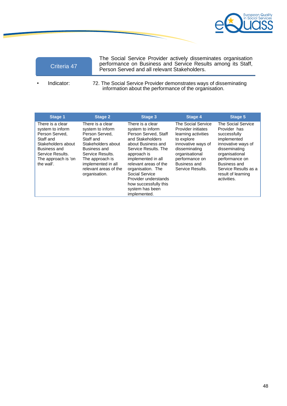

| Criteria 47 |  |
|-------------|--|
|             |  |
|             |  |
|             |  |

The Social Service Provider actively disseminates organisation performance on Business and Service Results among its Staff, Person Served and all relevant Stakeholders.

Indicator: 72. The Social Service Provider demonstrates ways of disseminating information about the performance of the organisation.

| <b>Stage 1</b>                                                                                                                                                            | <b>Stage 2</b>                                                                                                                                                                                                   | <b>Stage 3</b>                                                                                                                                                                                                                                                                                                          | <b>Stage 4</b>                                                                                                                                                                               | <b>Stage 5</b>                                                                                                                                                                                                            |
|---------------------------------------------------------------------------------------------------------------------------------------------------------------------------|------------------------------------------------------------------------------------------------------------------------------------------------------------------------------------------------------------------|-------------------------------------------------------------------------------------------------------------------------------------------------------------------------------------------------------------------------------------------------------------------------------------------------------------------------|----------------------------------------------------------------------------------------------------------------------------------------------------------------------------------------------|---------------------------------------------------------------------------------------------------------------------------------------------------------------------------------------------------------------------------|
| There is a clear<br>system to inform<br>Person Served.<br>Staff and<br>Stakeholders about<br><b>Business and</b><br>Service Results.<br>The approach is 'on<br>the wall'. | There is a clear<br>system to inform<br>Person Served.<br>Staff and<br>Stakeholders about<br>Business and<br>Service Results.<br>The approach is<br>implemented in all<br>relevant areas of the<br>organisation. | There is a clear<br>system to inform<br>Person Served, Staff<br>and Stakeholders<br>about Business and<br>Service Results. The<br>approach is<br>implemented in all<br>relevant areas of the<br>organisation. The<br>Social Service<br>Provider understands<br>how successfully this<br>system has been<br>implemented. | The Social Service<br>Provider initiates<br>learning activities<br>to explore<br>innovative ways of<br>disseminating<br>organisational<br>performance on<br>Business and<br>Service Results. | The Social Service<br>Provider has<br>successfully<br>implemented<br>innovative ways of<br>disseminating<br>organisational<br>performance on<br>Business and<br>Service Results as a<br>result of learning<br>activities. |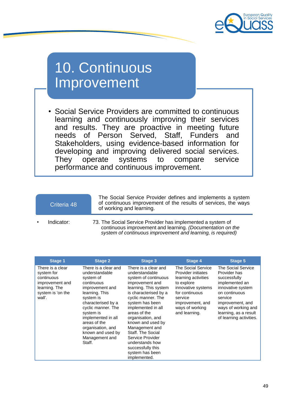

## 10. Continuous Improvement

• Social Service Providers are committed to continuous learning and continuously improving their services and results. They are proactive in meeting future needs of Person Served, Staff, Funders and Stakeholders, using evidence-based information for developing and improving delivered social services. They operate systems to compare service performance and continuous improvement.

| Criteria 48 | The Social Service Provider defines and implements a system<br>of continuous improvement of the results of services, the ways<br>of working and learning.                                |
|-------------|------------------------------------------------------------------------------------------------------------------------------------------------------------------------------------------|
| Indicator:  | 73. The Social Service Provider has implemented a system of<br>continuous improvement and learning. (Documentation on the<br>system of continuous improvement and learning, is required) |

| Stage 1                                                                                                         | <b>Stage 2</b>                                                                                                                                                                                                                                                                           | Stage 3                                                                                                                                                                                                                                                                                                                                                                                            | Stage 4                                                                                                                                                                                  | <b>Stage 5</b>                                                                                                                                                                                                       |
|-----------------------------------------------------------------------------------------------------------------|------------------------------------------------------------------------------------------------------------------------------------------------------------------------------------------------------------------------------------------------------------------------------------------|----------------------------------------------------------------------------------------------------------------------------------------------------------------------------------------------------------------------------------------------------------------------------------------------------------------------------------------------------------------------------------------------------|------------------------------------------------------------------------------------------------------------------------------------------------------------------------------------------|----------------------------------------------------------------------------------------------------------------------------------------------------------------------------------------------------------------------|
| There is a clear<br>system for<br>continuous<br>improvement and<br>learning. The<br>system is 'on the<br>wall'. | There is a clear and<br>understandable<br>system of<br>continuous<br>improvement and<br>learning. This<br>system is<br>characterised by a<br>cyclic manner. The<br>system is<br>implemented in all<br>areas of the<br>organisation, and<br>known and used by<br>Management and<br>Staff. | There is a clear and<br>understandable<br>system of continuous<br>improvement and<br>learning. This system<br>is characterised by a<br>cyclic manner. The<br>system has been<br>implemented in all<br>areas of the<br>organisation, and<br>known and used by<br>Management and<br>Staff. The Social<br>Service Provider<br>understands how<br>successfully this<br>system has been<br>implemented. | The Social Service<br>Provider initiates<br>learning activities<br>to explore<br>innovative systems<br>for continuous<br>service<br>improvement, and<br>ways of working<br>and learning. | The Social Service<br>Provider has<br>successfully<br>implemented an<br>innovative system<br>on continuous<br>service<br>improvement, and<br>ways of working and<br>learning, as a result<br>of learning activities. |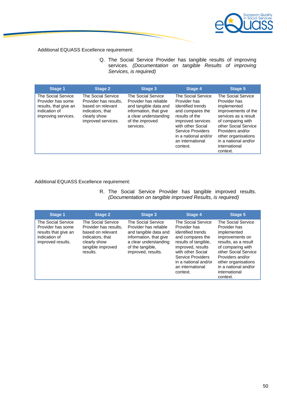

Additional EQUASS Excellence requirement:

Q. The Social Service Provider has tangible results of improving services. *(Documentation on tangible Results of improving Services, is required)*

| <b>Stage 1</b>                                                                                           | <b>Stage 2</b>                                                                                                             | <b>Stage 3</b>                                                                                                                                          | <b>Stage 4</b>                                                                                                                                                                                                       | <b>Stage 5</b>                                                                                                                                                                                                                                |
|----------------------------------------------------------------------------------------------------------|----------------------------------------------------------------------------------------------------------------------------|---------------------------------------------------------------------------------------------------------------------------------------------------------|----------------------------------------------------------------------------------------------------------------------------------------------------------------------------------------------------------------------|-----------------------------------------------------------------------------------------------------------------------------------------------------------------------------------------------------------------------------------------------|
| The Social Service<br>Provider has some<br>results, that give an<br>indication of<br>improving services. | The Social Service<br>Provider has results,<br>based on relevant<br>indicators, that<br>clearly show<br>improved services. | The Social Service<br>Provider has reliable<br>and tangible data and<br>information, that give<br>a clear understanding<br>of the improved<br>services. | The Social Service<br>Provider has<br>identified trends<br>and compares the<br>results of the<br>improved services<br>with other Social<br>Service Providers<br>in a national and/or<br>an international<br>context. | The Social Service<br>Provider has<br>implemented<br>improvements of the<br>services as a result<br>of comparing with<br>other Social Service<br>Providers and/or<br>other organisations<br>in a national and/or<br>international<br>context. |

Additional EQUASS Excellence requirement:

R. The Social Service Provider has tangible improved results. *(Documentation on tangible improved Results, is required)*

| <b>Stage 1</b>                                                                                               | <b>Stage 2</b>                                                                                                                        | <b>Stage 3</b>                                                                                                                                                    | <b>Stage 4</b>                                                                                                                                                                                                             | <b>Stage 5</b>                                                                                                                                                                                                                            |
|--------------------------------------------------------------------------------------------------------------|---------------------------------------------------------------------------------------------------------------------------------------|-------------------------------------------------------------------------------------------------------------------------------------------------------------------|----------------------------------------------------------------------------------------------------------------------------------------------------------------------------------------------------------------------------|-------------------------------------------------------------------------------------------------------------------------------------------------------------------------------------------------------------------------------------------|
| <b>The Social Service</b><br>Provider has some<br>results that give an<br>indication of<br>improved results. | The Social Service<br>Provider has results,<br>based on relevant<br>indicators, that<br>clearly show<br>tangible improved<br>results. | The Social Service<br>Provider has reliable<br>and tangible data and<br>information, that give<br>a clear understanding<br>of the tangible.<br>improved, results. | The Social Service<br>Provider has<br>identified trends<br>and compares the<br>results of tangible,<br>improved, results<br>with other Social<br>Service Providers<br>in a national and/or<br>an international<br>context. | The Social Service<br>Provider has<br>implemented<br>improvements on<br>results, as a result<br>of comparing with<br>other Social Service<br>Providers and/or<br>other organisations<br>in a national and/or<br>international<br>context. |